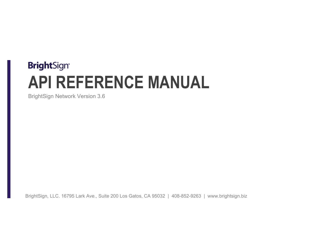# **BrightSign® API REFERENCE MANUAL**

BrightSign Network Version 3.6

BrightSign, LLC. 16795 Lark Ave., Suite 200 Los Gatos, CA 95032 | 408-852-9263 | www.brightsign.biz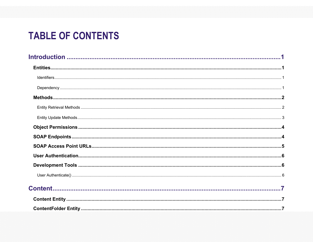## **TABLE OF CONTENTS**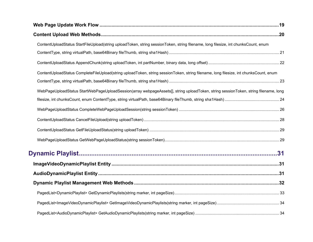| ContentUploadStatus StartFileUpload(string uploadToken, string sessionToken, string filename, long filesize, int chunksCount, enum    |  |
|---------------------------------------------------------------------------------------------------------------------------------------|--|
|                                                                                                                                       |  |
|                                                                                                                                       |  |
| ContentUploadStatus CompleteFileUpload(string uploadToken, string sessionToken, string filename, long filesize, int chunksCount, enum |  |
|                                                                                                                                       |  |
| WebPageUploadStatus StartWebPageUploadSession(array webpageAssets[], string uploadToken, string sessionToken, string filename, long   |  |
|                                                                                                                                       |  |
|                                                                                                                                       |  |
|                                                                                                                                       |  |
|                                                                                                                                       |  |
|                                                                                                                                       |  |
|                                                                                                                                       |  |
|                                                                                                                                       |  |
|                                                                                                                                       |  |
|                                                                                                                                       |  |
|                                                                                                                                       |  |
|                                                                                                                                       |  |
|                                                                                                                                       |  |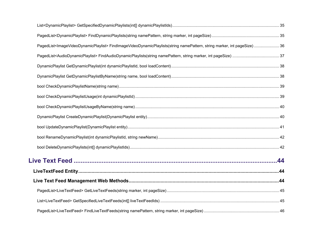| PagedList <imagevideodynamicplaylist>FindImageVideoDynamicPlaylists(string namePattern, string marker, int pageSize)  36</imagevideodynamicplaylist> |  |
|------------------------------------------------------------------------------------------------------------------------------------------------------|--|
|                                                                                                                                                      |  |
|                                                                                                                                                      |  |
|                                                                                                                                                      |  |
|                                                                                                                                                      |  |
|                                                                                                                                                      |  |
|                                                                                                                                                      |  |
|                                                                                                                                                      |  |
|                                                                                                                                                      |  |
|                                                                                                                                                      |  |
|                                                                                                                                                      |  |
|                                                                                                                                                      |  |
|                                                                                                                                                      |  |
|                                                                                                                                                      |  |
|                                                                                                                                                      |  |
|                                                                                                                                                      |  |
|                                                                                                                                                      |  |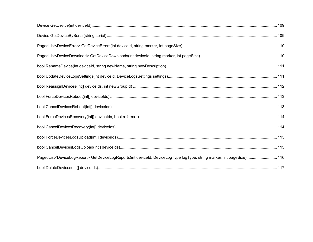| PagedList <devicelogreport> GetDeviceLogReports(int deviceId, DeviceLogType logType, string marker, int pageSize)  116</devicelogreport> |  |
|------------------------------------------------------------------------------------------------------------------------------------------|--|
|                                                                                                                                          |  |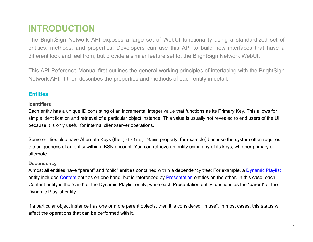### <span id="page-11-0"></span>**INTRODUCTION**

The BrightSign Network API exposes a large set of WebUI functionality using a standardized set of entities, methods, and properties. Developers can use this API to build new interfaces that have a different look and feel from, but provide a similar feature set to, the BrightSign Network WebUI.

This API Reference Manual first outlines the general working principles of interfacing with the BrightSign Network API. It then describes the properties and methods of each entity in detail.

#### <span id="page-11-1"></span>**Entities**

#### <span id="page-11-2"></span>**Identifiers**

Each entity has a unique ID consisting of an incremental integer value that functions as its Primary Key. This allows for simple identification and retrieval of a particular object instance. This value is usually not revealed to end users of the UI because it is only useful for internal client/server operations.

Some entities also have Alternate Keys (the [string] Name property, for example) because the system often requires the uniqueness of an entity within a BSN account. You can retrieve an entity using any of its keys, whether primary or alternate.

#### <span id="page-11-3"></span>**Dependency**

Almost all entities have "parent" and "child" entities contained within a dependency tree: For example, a [Dynamic Playlist](#page-41-1) entity includes [Content](#page-17-1) entities on one hand, but is referenced by [Presentation](#page-78-1) entities on the other. In this case, each Content entity is the "child" of the Dynamic Playlist entity, while each Presentation entity functions as the "parent" of the Dynamic Playlist entity.

If a particular object instance has one or more parent objects, then it is considered "in use". In most cases, this status will affect the operations that can be performed with it.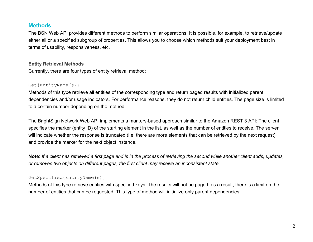#### <span id="page-12-0"></span>**Methods**

The BSN Web API provides different methods to perform similar operations. It is possible, for example, to retrieve/update either all or a specified subgroup of properties. This allows you to choose which methods suit your deployment best in terms of usability, responsiveness, etc.

#### <span id="page-12-1"></span>**Entity Retrieval Methods**

Currently, there are four types of entity retrieval method:

#### Get{EntityName(s)}

Methods of this type retrieve all entities of the corresponding type and return paged results with initialized parent dependencies and/or usage indicators. For performance reasons, they do not return child entities. The page size is limited to a certain number depending on the method.

The BrightSign Network Web API implements a markers-based approach similar to the Amazon REST 3 API: The client specifies the marker (entity ID) of the starting element in the list, as well as the number of entities to receive. The server will indicate whether the response is truncated (i.e. there are more elements that can be retrieved by the next request) and provide the marker for the next object instance.

**Note**: *If a client has retrieved a first page and is in the process of retrieving the second while another client adds, updates, or removes two objects on different pages, the first client may receive an inconsistent state.*

#### GetSpecified{EntityName(s)}

Methods of this type retrieve entities with specified keys. The results will not be paged; as a result, there is a limit on the number of entities that can be requested. This type of method will initialize only parent dependencies.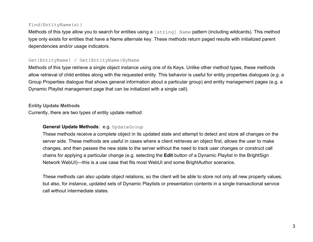#### Find{EntityName(s)}

Methods of this type allow you to search for entities using a [string] Name pattern (including wildcards). This method type only exists for entities that have a Name alternate key. These methods return paged results with initialized parent dependencies and/or usage indicators.

#### Get{EntityName} / Get{EntityName}ByName

Methods of this type retrieve a single object instance using one of its Keys. Unlike other method types, these methods allow retrieval of child entities along with the requested entity. This behavior is useful for entity properties dialogues (e.g. a Group Properties dialogue that shows general information about a particular group) and entity management pages (e.g. a Dynamic Playlist management page that can be initialized with a single call).

#### <span id="page-13-0"></span>**Entity Update Methods**

Currently, there are two types of entity update method:

#### **General Update Methods**: e.g. UpdateGroup

These methods receive a complete object in its updated state and attempt to detect and store all changes on the server side. These methods are useful in cases where a client retrieves an object first, allows the user to make changes, and then passes the new state to the server without the need to track user changes or construct call chains for applying a particular change (e.g. selecting the **Edit** button of a Dynamic Playlist in the BrightSign Network WebUI)—this is a use case that fits most WebUI and some BrightAuthor scenarios.

These methods can also update object relations, so the client will be able to store not only all new property values, but also, for instance, updated sets of Dynamic Playlists or presentation contents in a single transactional service call without intermediate states.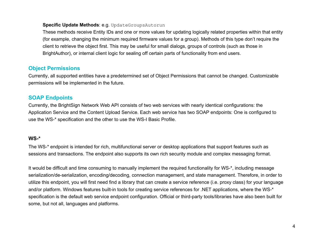#### **Specific Update Methods**: e.g. UpdateGroupsAutorun

These methods receive Entity IDs and one or more values for updating logically related properties within that entity (for example, changing the minimum required firmware values for a group). Methods of this type don't require the client to retrieve the object first. This may be useful for small dialogs, groups of controls (such as those in BrightAuthor), or internal client logic for sealing off certain parts of functionality from end users.

#### <span id="page-14-0"></span>**Object Permissions**

Currently, all supported entities have a predetermined set of Object Permissions that cannot be changed. Customizable permissions will be implemented in the future.

#### <span id="page-14-1"></span>**SOAP Endpoints**

Currently, the BrightSign Network Web API consists of two web services with nearly identical configurations: the Application Service and the Content Upload Service. Each web service has two SOAP endpoints: One is configured to use the WS-\* specification and the other to use the WS-I Basic Profile.

#### **WS-\***

The WS-\* endpoint is intended for rich, multifunctional server or desktop applications that support features such as sessions and transactions. The endpoint also supports its own rich security module and complex messaging format.

It would be difficult and time consuming to manually implement the required functionality for WS-\*, including message serialization/de-serialization, encoding/decoding, connection management, and state management. Therefore, in order to utilize this endpoint, you will first need find a library that can create a service reference (i.e. proxy class) for your language and/or platform. Windows features built-in tools for creating service references for .NET applications, where the WS-\* specification is the default web service endpoint configuration. Official or third-party tools/libraries have also been built for some, but not all, languages and platforms.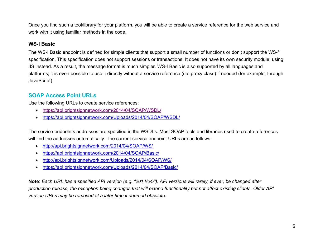Once you find such a tool/library for your platform, you will be able to create a service reference for the web service and work with it using familiar methods in the code.

#### **WS-I Basic**

The WS-I Basic endpoint is defined for simple clients that support a small number of functions or don't support the WS-\* specification. This specification does not support sessions or transactions. It does not have its own security module, using IIS instead. As a result, the message format is much simpler. WS-I Basic is also supported by all languages and platforms; it is even possible to use it directly without a service reference (i.e. proxy class) if needed (for example, through JavaScript).

#### <span id="page-15-0"></span>**SOAP Access Point URLs**

Use the following URLs to create service references:

- <https://api.brightsignnetwork.com/2014/04/SOAP/WSDL/>
- <https://api.brightsignnetwork.com/Uploads/2014/04/SOAP/WSDL/>

The service-endpoints addresses are specified in the WSDLs. Most SOAP tools and libraries used to create references will find the addresses automatically. The current service endpoint URLs are as follows:

- <http://api.brightsignnetwork.com/2014/04/SOAP/WS/>
- <https://api.brightsignnetwork.com/2014/04/SOAP/Basic/>
- <http://api.brightsignnetwork.com/Uploads/2014/04/SOAP/WS/>
- <https://api.brightsignnetwork.com/Uploads/2014/04/SOAP/Basic/>

**Note**: *Each URL has a specified API version (e.g. "2014/04/"). API versions will rarely, if ever, be changed after production release, the exception being changes that will extend functionality but not affect existing clients. Older API version URLs may be removed at a later time if deemed obsolete.*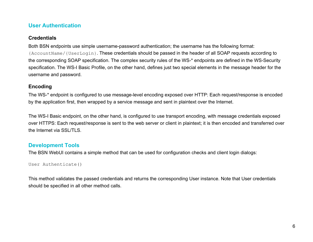#### <span id="page-16-0"></span>**User Authentication**

#### **Credentials**

Both BSN endpoints use simple username-password authentication; the username has the following format: {AccountName/{UserLogin}. These credentials should be passed in the header of all SOAP requests according to the corresponding SOAP specification. The complex security rules of the WS-\* endpoints are defined in the WS-Security specification. The WS-I Basic Profile, on the other hand, defines just two special elements in the message header for the username and password.

#### **Encoding**

The WS-\* endpoint is configured to use message-level encoding exposed over HTTP: Each request/response is encoded by the application first, then wrapped by a service message and sent in plaintext over the Internet.

The WS-I Basic endpoint, on the other hand, is configured to use transport encoding, with message credentials exposed over HTTPS: Each request/response is sent to the web server or client in plaintext; it is then encoded and transferred over the Internet via SSL/TLS.

#### <span id="page-16-1"></span>**Development Tools**

The BSN WebUI contains a simple method that can be used for configuration checks and client login dialogs:

```
User Authenticate()
```
This method validates the passed credentials and returns the corresponding User instance. Note that User credentials should be specified in all other method calls.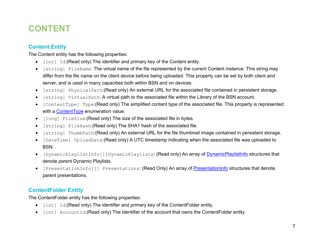## <span id="page-17-0"></span>**CONTENT**

#### <span id="page-17-1"></span>**Content Entity**

The Content entity has the following properties:

- [int] Id:(Read only) The identifier and primary key of the Content entity.
- [string] FileName: The virtual name of the file represented by the current Content instance. This string may differ from the file name on the client device before being uploaded. This property can be set by both client and server, and is used in many capacities both within BSN and on devices.
- [string] PhysicalPath:(Read only) An external URL for the associated file contained in persistent storage.
- [string] VirtualPath: A virtual path to the associated file within the Library of the BSN account.
- [ContentType] Type:(Read only) The simplified content type of the associated file. This property is represented with a [ContentType](#page-18-0) enumeration value.
- [long] FileSize:(Read only) The size of the associated file in bytes.
- [string] FileHash:(Read only) The SHA1 hash of the associated file.
- [string] ThumbPath:(Read only) An external URL for the file thumbnail image contained in persistent storage.
- [DateTime] UploadDate:(Read only) A UTC timestamp indicating when the associated file was uploaded to BSN.
- [DynamicPlaylistInfo[]]DynamicPlaylists: (Read only) An array of [DynamicPlaylistInfo](#page-20-0) structures that denote parent Dynamic Playlists.
- [PresentationInfo[]] Presentations: (Read Only) An array of [PresentationInfo](#page-21-0) structures that denote parent presentations.

#### <span id="page-17-2"></span>**ContentFolder Entity**

The ContentFolder entity has the following properties:

- [int] Id:(Read only) The identifier and primary key of the ContentFolder entity.
- [int] AccountId:(Read only) The identifier of the account that owns the ContentFolder entity.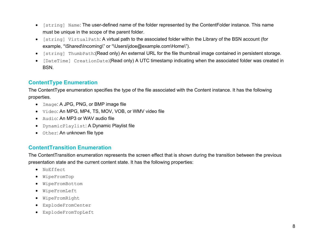- [string] Name: The user-defined name of the folder represented by the ContentFolder instance. This name must be unique in the scope of the parent folder.
- [string] VirtualPath: A virtual path to the associated folder within the Library of the BSN account (for example, "\Shared\Incoming\" or "\Users\jdoe@example.com\Home\").
- [string] ThumbPath:(Read only) An external URL for the file thumbnail image contained in persistent storage.
- [DateTime] CreationDate:(Read only) A UTC timestamp indicating when the associated folder was created in BSN.

#### <span id="page-18-0"></span>**ContentType Enumeration**

The ContentType enumeration specifies the type of the file associated with the Content instance. It has the following properties.

- Image: A JPG, PNG, or BMP image file
- Video: An MPG, MP4, TS, MOV, VOB, or WMV video file
- Audio: An MP3 or WAV audio file
- DynamicPlaylist: A Dynamic Playlist file
- Other: An unknown file type

#### <span id="page-18-1"></span>**ContentTransition Enumeration**

The ContentTransition enumeration represents the screen effect that is shown during the transition between the previous presentation state and the current content state. It has the following properties:

- NoEffect
- WipeFromTop
- WipeFromBottom
- WipeFromLeft
- WipeFromRight
- ExplodeFromCenter
- ExplodeFromTopLeft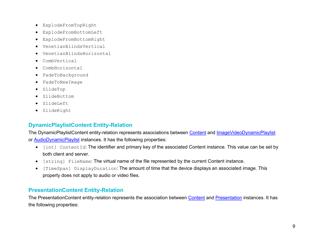- ExplodeFromTopRight
- ExplodeFromBottomLeft
- ExplodeFromBottomRight
- VenetianBlindsVertical
- VenetianBlindsHorizontal
- CombVertical
- CombHorizontal
- FadeToBackground
- FadeToNewImage
- SlideTop
- SlideBottom
- SlideLeft
- SlideRight

#### <span id="page-19-0"></span>**DynamicPlaylistContent Entity-Relation**

The DynamicPlaylistContent entity-relation represents associations between [Content](#page-17-1) and [ImageVideoDynamicPlaylist](#page-41-1) or [AudioDynamicPlaylist](#page-41-2) instances. It has the following properties:

- [int] ContentId: The identifier and primary key of the associated Content instance. This value can be set by both client and server.
- [string] FileName: The virtual name of the file represented by the current Content instance.
- [TimeSpan] DisplayDuration: The amount of time that the device displays an associated image. This property does not apply to audio or video files.

#### <span id="page-19-1"></span>**PresentationContent Entity-Relation**

The PresentationContent entity-relation represents the association between [Content](#page-17-1) and [Presentation](#page-78-1) instances. It has the following properties: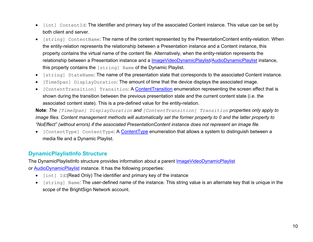- [int] ContentId: The identifier and primary key of the associated Content instance. This value can be set by both client and server.
- [string] ContentName: The name of the content represented by the PresentationContent entity-relation. When the entity-relation represents the relationship between a Presentation instance and a Content instance, this property contains the virtual name of the content file. Alternatively, when the entity-relation represents the relationship between a Presentation instance and a [ImageVideoDynamicPlaylist](#page-41-1)[/AudioDynamicPlaylist](#page-41-2) instance, this property contains the [string] Name of the Dynamic Playlist.
- [string] StateName: The name of the presentation state that corresponds to the associated Content instance.
- [TimeSpan] DisplayDuration: The amount of time that the device displays the associated image.
- [ContentTransition] Transition: A [ContentTransition](#page-18-1) enumeration representing the screen effect that is shown during the transition between the previous presentation state and the current content state (i.e. the associated content state). This is a pre-defined value for the entity-relation.

**Note**: *The [TimeSpan] DisplayDuration and [ContentTransition] Transition properties only apply to*  image files. Content management methods will automatically set the former property to 0 and the latter property to *"NoEffect" (without errors) if the associated PresentationContent instance does not represent an image file.*

• [ContentType] [ContentType](#page-18-0): A ContentType enumeration that allows a system to distinguish between a media file and a Dynamic Playlist.

#### <span id="page-20-0"></span>**DynamicPlaylistInfo Structure**

The DynamicPlaylistInfo structure provides information about a parent [ImageVideoDynamicPlaylist](#page-41-1) or [AudioDynamicPlaylist](#page-41-2) instance. It has the following properties:

- [int] Id:(Read Only) The identifier and primary key of the instance
- [string] Name: The user-defined name of the instance. This string value is an alternate key that is unique in the scope of the BrightSign Network account.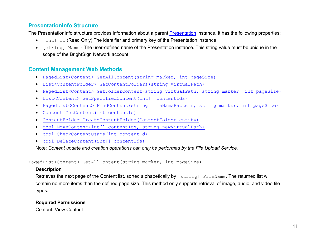#### <span id="page-21-0"></span>**PresentationInfo Structure**

The [Presentation](#page-78-1)Info structure provides information about a parent Presentation instance. It has the following properties:

- [int] Id:(Read Only) The identifier and primary key of the Presentation instance
- [string] Name: The user-defined name of the Presentation instance. This string value must be unique in the scope of the BrightSign Network account.

#### <span id="page-21-1"></span>**Content Management Web Methods**

- [PagedList<Content> GetAllContent\(string](#page-21-2) marker, int pageSize)
- [List<ContentFolder> GetContentFolders\(string virtualPath\)](#page-22-0)
- [PagedList<Content> GetFolderContent\(string virtualPath, string](#page-22-1) marker, int pageSize)
- [List<Content> GetSpecifiedContent\(int\[\] contentIds\)](#page-23-0)
- [PagedList<Content> FindContent\(string fileNamePattern, string](#page-23-1) marker, int pageSize)
- [Content GetContent\(int contentId\)](#page-24-0)
- [ContentFolder CreateContentFolder\(ContentFolder entity\)](#page-24-1)
- [bool MoveContent\(int\[\] contentIds, string newVirtualPath\)](#page-25-0)
- [bool CheckContentUsage\(int contentId\)](#page-26-0)
- [bool DeleteContent\(int\[\] contentIds\)](#page-26-1)

Note: *Content update and creation operations can only be performed by the File Upload Service.*

<span id="page-21-2"></span>PagedList<Content> GetAllContent(string marker, int pageSize)

#### **Description**

Retrieves the next page of the Content list, sorted alphabetically by [string] FileName. The returned list will contain no more items than the defined page size. This method only supports retrieval of image, audio, and video file types.

#### **Required Permissions**

Content: View Content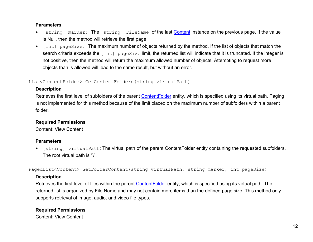#### **Parameters**

- [string] marker: The [string] FileName of the last [Content](#page-17-1) instance on the previous page. If the value is Null, then the method will retrieve the first page.
- [int] pageSize: The maximum number of objects returned by the method. If the list of objects that match the search criteria exceeds the [int] pageSize limit, the returned list will indicate that it is truncated. If the integer is not positive, then the method will return the maximum allowed number of objects. Attempting to request more objects than is allowed will lead to the same result, but without an error.

#### <span id="page-22-0"></span>List<ContentFolder> GetContentFolders(string virtualPath)

#### **Description**

Retrieves the first level of subfolders of the parent [ContentFolder](#page-17-2) entity, which is specified using its virtual path. Paging is not implemented for this method because of the limit placed on the maximum number of subfolders within a parent folder.

#### **Required Permissions**

Content: View Content

#### **Parameters**

• [string] virtualPath: The virtual path of the parent ContentFolder entity containing the requested subfolders. The root virtual path is "\".

<span id="page-22-1"></span>PagedList<Content> GetFolderContent(string virtualPath, string marker, int pageSize)

#### **Description**

Retrieves the first level of files within the parent [ContentFolder](#page-17-2) entity, which is specified using its virtual path. The returned list is organized by File Name and may not contain more items than the defined page size. This method only supports retrieval of image, audio, and video file types.

#### **Required Permissions**

Content: View Content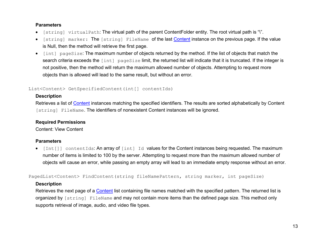#### **Parameters**

- [string] virtualPath: The virtual path of the parent ContentFolder entity. The root virtual path is "\".
- [string] marker: The [string] FileName of the last [Content](#page-17-1) instance on the previous page. If the value is Null, then the method will retrieve the first page.
- [int] pageSize: The maximum number of objects returned by the method. If the list of objects that match the search criteria exceeds the [int] pageSize limit, the returned list will indicate that it is truncated. If the integer is not positive, then the method will return the maximum allowed number of objects. Attempting to request more objects than is allowed will lead to the same result, but without an error.

#### <span id="page-23-0"></span>List<Content> GetSpecifiedContent(int[] contentIds)

#### **Description**

Retrieves a list of [Content](#page-17-1) instances matching the specified identifiers. The results are sorted alphabetically by Content [string] FileName. The identifiers of nonexistent Content instances will be ignored.

#### **Required Permissions**

Content: View Content

#### **Parameters**

 $\bullet$  [Int[]] contentIds: An array of  $\lceil \text{int} \rceil$  Id values for the Content instances being requested. The maximum number of items is limited to 100 by the server. Attempting to request more than the maximum allowed number of objects will cause an error, while passing an empty array will lead to an immediate empty response without an error.

<span id="page-23-1"></span>PagedList<Content> FindContent(string fileNamePattern, string marker, int pageSize)

#### **Description**

Retrieves the next page of a **Content** list containing file names matched with the specified pattern. The returned list is organized by [string] FileName and may not contain more items than the defined page size. This method only supports retrieval of image, audio, and video file types.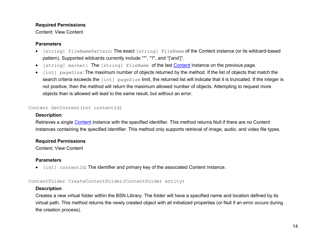#### **Required Permissions**

#### Content: View Content

#### **Parameters**

- [string] fileNamePattern: The exact [string] FileName of the Content instance (or its wildcard-based pattern). Supported wildcards currently include "\*", "?", and "['and']".
- [string] marker: The [string] FileName of the last [Content](#page-17-1) instance on the previous page.
- [int] pageSize: The maximum number of objects returned by the method. If the list of objects that match the search criteria exceeds the [int] pageSize limit, the returned list will indicate that it is truncated. If the integer is not positive, then the method will return the maximum allowed number of objects. Attempting to request more objects than is allowed will lead to the same result, but without an error.

#### <span id="page-24-0"></span>Content GetContent(int contentId)

#### **Description**

Retrieves a single [Content](#page-17-1) instance with the specified identifier. This method returns Null if there are no Content instances containing the specified identifier. This method only supports retrieval of image, audio, and video file types.

#### **Required Permissions**

Content: View Content

#### **Parameters**

• [int] contentId: The identifier and primary key of the associated Content instance.

#### <span id="page-24-1"></span>ContentFolder CreateContentFolder(ContentFolder entity)

#### **Description**

Creates a new virtual folder within the BSN Library. The folder will have a specified name and location defined by its virtual path. This method returns the newly created object with all initialized properties (or Null if an error occurs during the creation process).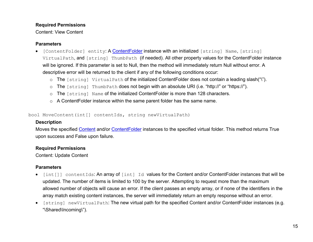#### **Required Permissions**

Content: View Content

#### **Parameters**

- [ContentFolder] entity: A Content Folder instance with an initialized [string] Name, [string] VirtualPath, and [string] ThumbPath (if needed). All other property values for the ContentFolder instance will be ignored. If this parameter is set to Null, then the method will immediately return Null without error. A descriptive error will be returned to the client if any of the following conditions occur:
	- o The [string] VirtualPath of the initialized ContentFolder does not contain a leading slash("\").
	- o The [string] ThumbPath does not begin with an absolute URI (i.e. "http://" or "https://").
	- o The [string] Name of the initialized ContentFolder is more than 128 characters.
	- o A ContentFolder instance within the same parent folder has the same name.

<span id="page-25-0"></span>bool MoveContent(int[] contentIds, string newVirtualPath)

#### **Description**

Moves the specified [Content](#page-17-1) and/or [ContentFolder](#page-17-2) instances to the specified virtual folder. This method returns True upon success and False upon failure.

#### **Required Permissions**

Content: Update Content

#### **Parameters**

- [int[]] contentIds: An array of [int] Id values for the Content and/or ContentFolder instances that will be updated. The number of items is limited to 100 by the server. Attempting to request more than the maximum allowed number of objects will cause an error. If the client passes an empty array, or if none of the identifiers in the array match existing content instances, the server will immediately return an empty response without an error.
- [string] newVirtualPath: The new virtual path for the specified Content and/or ContentFolder instances (e.g. "\Shared\Incoming\").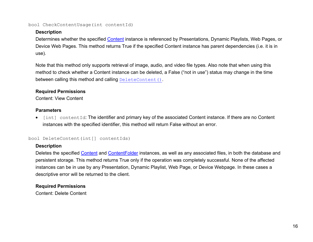<span id="page-26-0"></span>bool CheckContentUsage(int contentId)

#### **Description**

Determines whether the specified [Content](#page-17-1) instance is referenced by Presentations, Dynamic Playlists, Web Pages, or Device Web Pages. This method returns True if the specified Content instance has parent dependencies (i.e. it is in use).

Note that this method only supports retrieval of image, audio, and video file types. Also note that when using this method to check whether a Content instance can be deleted, a False ("not in use") status may change in the time between calling this method and calling [DeleteContent\(\)](#page-26-1).

#### **Required Permissions**

Content: View Content

#### **Parameters**

• [int] contentId: The identifier and primary key of the associated Content instance. If there are no Content instances with the specified identifier, this method will return False without an error.

#### <span id="page-26-1"></span>bool DeleteContent(int[] contentIds)

#### **Description**

Deletes the specified [Content](#page-17-1) and [ContentFolder](#page-17-2) instances, as well as any associated files, in both the database and persistent storage. This method returns True only if the operation was completely successful. None of the affected instances can be in use by any Presentation, Dynamic Playlist, Web Page, or Device Webpage. In these cases a descriptive error will be returned to the client.

#### **Required Permissions**

Content: Delete Content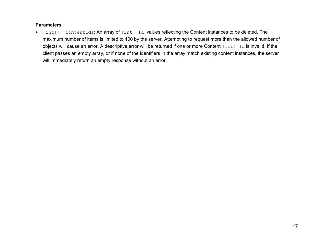#### **Parameters**

• [int[]] contentIds: An array of [int] Id values reflecting the Content instances to be deleted. The maximum number of items is limited to 100 by the server. Attempting to request more than the allowed number of objects will cause an error. A descriptive error will be returned if one or more Content [int] Id is invalid. If the client passes an empty array, or if none of the identifiers in the array match existing content instances, the server will immediately return an empty response without an error.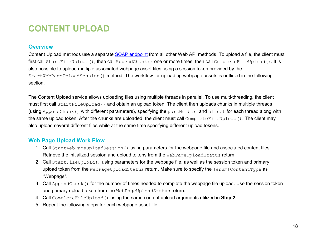## <span id="page-28-0"></span>**CONTENT UPLOAD**

#### <span id="page-28-1"></span>**Overview**

Content Upload methods use a separate [SOAP endpoint](#page-14-1) from all other Web API methods. To upload a file, the client must first call StartFileUpload(), then call AppendChunk() one or more times, then call CompleteFileUpload(). It is also possible to upload multiple associated webpage asset files using a session token provided by the StartWebPageUploadSession() method. The workflow for uploading webpage assets is outlined in the following section.

The Content Upload service allows uploading files using multiple threads in parallel. To use multi-threading, the client must first call StartFileUpload() and obtain an upload token. The client then uploads chunks in multiple threads (using AppendChunk() with different parameters), specifying the partNumber and offset for each thread along with the same upload token. After the chunks are uploaded, the client must call CompleteFileUpload(). The client may also upload several different files while at the same time specifying different upload tokens.

#### <span id="page-28-2"></span>**Web Page Upload Work Flow**

- 1. Call StartWebPageUploadSession() using parameters for the webpage file and associated content files. Retrieve the initialized session and upload tokens from the WebPageUploadStatus return.
- 2. Call StartFileUpload() using parameters for the webpage file, as well as the session token and primary upload token from the WebPageUploadStatus return. Make sure to specify the [enum]ContentType as "Webpage".
- 3. Call AppendChunk() for the number of times needed to complete the webpage file upload. Use the session token and primary upload token from the WebPageUploadStatus return.
- 4. Call CompleteFileUpload() using the same content upload arguments utilized in **Step 2**.
- 5. Repeat the following steps for each webpage asset file: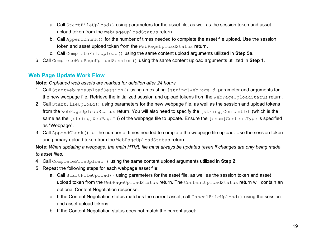- a. Call StartFileUpload() using parameters for the asset file, as well as the session token and asset upload token from the WebPageUploadStatus return.
- b. Call AppendChunk() for the number of times needed to complete the asset file upload. Use the session token and asset upload token from the WebPageUploadStatus return.
- c. Call CompleteFileUpload() using the same content upload arguments utilized in **Step 5a**.
- 6. Call CompleteWebPageUploadSession() using the same content upload arguments utilized in **Step 1**.

#### <span id="page-29-0"></span>**Web Page Update Work Flow**

**Note**: *Orphaned web assets are marked for deletion after 24 hours.*

- 1. Call StartWebPageUploadSession() using an existing [string]WebPageId parameter and arguments for the new webpage file. Retrieve the initialized session and upload tokens from the WebPageUploadStatus return.
- 2. Call StartFileUpload() using parameters for the new webpage file, as well as the session and upload tokens from the WebPageUploadStatus return. You will also need to specify the [string]ContentId (which is the same as the [string]WebPageId) of the webpage file to update. Ensure the [enum]ContentType is specified as "Webpage".
- 3. Call AppendChunk() for the number of times needed to complete the webpage file upload. Use the session token and primary upload token from the WebPageUploadStatus return.

**Note**: *When updating a webpage, the main HTML file must always be updated (even if changes are only being made to asset files).*

- 4. Call CompleteFileUpload() using the same content upload arguments utilized in **Step 2**.
- 5. Repeat the following steps for each webpage asset file:
	- a. Call StartFileUpload() using parameters for the asset file, as well as the session token and asset upload token from the WebPageUploadStatus return. The ContentUploadStatus return will contain an optional Content Negotiation response.
	- a. If the Content Negotiation status matches the current asset, call CancelFileUpload() using the session and asset upload tokens.
	- b. If the Content Negotiation status does not match the current asset: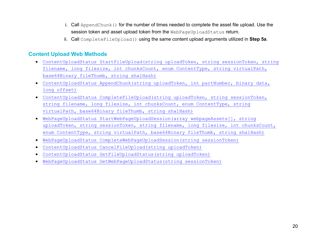- i. Call AppendChunk() for the number of times needed to complete the asset file upload. Use the session token and asset upload token from the WebPageUploadStatus return.
- ii. Call CompleteFileUpload() using the same content upload arguments utilized in **Step 5a**.

#### <span id="page-30-0"></span>**Content Upload Web Methods**

- [ContentUploadStatus StartFileUpload\(string uploadToken, string sessionToken, string](#page-30-1)  filename, long filesize, int chunksCount, enum ContentType, string virtualPath, [base64Binary fileThumb, string sha1Hash\)](#page-30-1)
- ContentUploadStatus [AppendChunk\(string uploadToken, int partNumber, binary data,](#page-32-1)  [long offset\)](#page-32-1)
- <span id="page-30-1"></span>• [ContentUploadStatus CompleteFileUpload\(string uploadToken, string sessionToken,](#page-33-0)  [string filename, long filesize, int chunksCount,](#page-33-0) enum ContentType, string [virtualPath, base64Binary fileThumb, string sha1Hash\)](#page-33-0)
- [WebPageUploadStatus StartWebPageUploadSession\(array webpageAssets\[\], string](#page-34-0)  [uploadToken, string sessionToken, string filename, long filesize, int chunksCount,](#page-34-0)  [enum ContentType, string virtualPath, base64Binary fileThumb, string sha1Hash\)](#page-34-0)
- [WebPageUploadStatus CompleteWebPageUploadSession\(string sessionToken\)](#page-36-0)
- [ContentUploadStatus CancelFileUpload\(string uploadToken\)](#page-38-0)
- [ContentUploadStatus GetFileUploadStatus\(string uploadToken\)](#page-39-0)
- [WebPageUploadStatus GetWebPageUploadStatus\(string sessionToken\)](#page-39-1)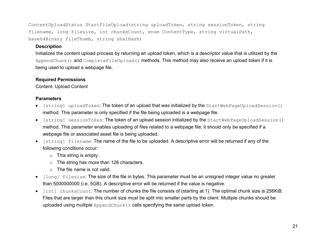<span id="page-31-0"></span>ContentUploadStatus StartFileUpload(string uploadToken, string sessionToken, string filename, long filesize, int chunksCount, enum ContentType, string virtualPath, base64Binary fileThumb, string sha1Hash)

#### **Description**

Initializes the content upload process by returning an upload token, which is a descriptor value that is utilized by the AppendChunk() and CompleteFileUpload() methods. This method may also receive an upload token if it is being used to upload a webpage file.

#### **Required Permissions**

Content: Upload Content

#### **Parameters**

- [string] uploadToken: The token of an upload that was initialized by the StartWebPageUploadSession() method. This parameter is only specified if the file being uploaded is a webpage file.
- [string] sessionToken: The token of an upload session initialized by the StartWebPageUploadSession() method. This parameter enables uploading of files related to a webpage file; it should only be specified if a webpage file or associated asset file is being uploaded.
- [string] filename: The name of the file to be uploaded. A descriptive error will be returned if any of the following conditions occur:
	- $\circ$  This string is empty.
	- o The string has more than 128 characters.
	- $\circ$  The file name is not valid.
- [long] filesize: The size of the file in bytes. This parameter must be an unsigned integer value no greater than 5000000000 (i.e. 5GB). A descriptive error will be returned if the value is negative.
- [int] chunksCount: The number of chunks the file consists of (starting at 1). The optimal chunk size is 256KiB. Files that are larger than this chunk size must be split into smaller parts by the client. Multiple chunks should be uploaded using multiple AppendChunk() calls specifying the same upload token.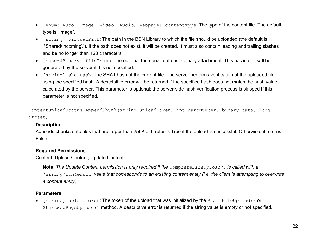- [enum: Auto, Image, Video, Audio, Webpage] contentType: The type of the content file. The default type is "Image".
- [string] virtualPath: The path in the BSN Library to which the file should be uploaded (the default is "\Shared\Incoming\"). If the path does not exist, it will be created. It must also contain leading and trailing slashes and be no longer than 128 characters.
- [base64Binary] fileThumb: The optional thumbnail data as a binary attachment. This parameter will be generated by the server if it is not specified.
- <span id="page-32-1"></span>• [string] sha1Hash: The SHA1 hash of the current file. The server performs verification of the uploaded file using the specified hash. A descriptive error will be returned if the specified hash does not match the hash value calculated by the server. This parameter is optional; the server-side hash verification process is skipped if this parameter is not specified.

<span id="page-32-0"></span>ContentUploadStatus AppendChunk(string uploadToken, int partNumber, binary data, long offset)

#### **Description**

Appends chunks onto files that are larger than 256Kib. It returns True if the upload is successful. Otherwise, it returns False.

#### **Required Permissions**

Content: Upload Content, Update Content

**Note**: *The Update Content permission is only required if the CompleteFileUpload() is called with a [string]contentId value that corresponds to an existing content entity (i.e. the client is attempting to overwrite a content entity).*

#### **Parameters**

[string] uploadToken: The token of the upload that was initialized by the StartFileUpload() or StartWebPageUpload() method. A descriptive error is returned if the string value is empty or not specified.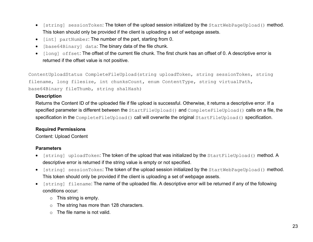- [string] sessionToken: The token of the upload session initialized by the StartWebPageUpload() method. This token should only be provided if the client is uploading a set of webpage assets.
- [int] partNumber: The number of the part, starting from 0.
- [base64Binary] data: The binary data of the file chunk.
- [long] offset: The offset of the current file chunk. The first chunk has an offset of 0. A descriptive error is returned if the offset value is not positive.

<span id="page-33-0"></span>ContentUploadStatus CompleteFileUpload(string uploadToken, string sessionToken, string filename, long filesize, int chunksCount, enum ContentType, string virtualPath, base64Binary fileThumb, string sha1Hash)

#### **Description**

Returns the Content ID of the uploaded file if file upload is successful. Otherwise, it returns a descriptive error. If a specified parameter is different between the StartFileUpload() and CompleteFileUpload() calls on a file, the specification in the CompleteFileUpload() call will overwrite the original StartFileUpload() specification.

#### **Required Permissions**

Content: Upload Content

#### **Parameters**

- [string] uploadToken: The token of the upload that was initialized by the StartFileUpload() method. A descriptive error is returned if the string value is empty or not specified.
- [string] sessionToken: The token of the upload session initialized by the StartWebPageUpload() method. This token should only be provided if the client is uploading a set of webpage assets.
- [string] filename: The name of the uploaded file. A descriptive error will be returned if any of the following conditions occur:
	- o This string is empty.
	- o The string has more than 128 characters.
	- $\circ$  The file name is not valid.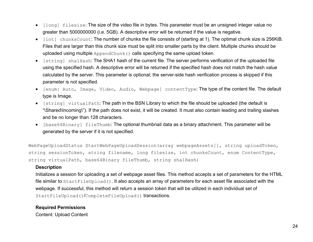- $[long]$  filesize: The size of the video file in bytes. This parameter must be an unsigned integer value no greater than 5000000000 (i.e. 5GB). A descriptive error will be returned if the value is negative.
- [int] chunksCount: The number of chunks the file consists of (starting at 1). The optimal chunk size is 256KiB. Files that are larger than this chunk size must be split into smaller parts by the client. Multiple chunks should be uploaded using multiple AppendChunk() calls specifying the same upload token.
- [string] sha1Hash: The SHA1 hash of the current file. The server performs verification of the uploaded file using the specified hash. A descriptive error will be returned if the specified hash does not match the hash value calculated by the server. This parameter is optional; the server-side hash verification process is skipped if this parameter is not specified.
- [enum: Auto, Image, Video, Audio, Webpage] contentType: The type of the content file. The default type is Image.
- [string] virtualPath: The path in the BSN Library to which the file should be uploaded (the default is "\Shared\Incoming\"). If the path does not exist, it will be created. It must also contain leading and trailing slashes and be no longer than 128 characters.
- [base64Binary] fileThumb: The optional thumbnail data as a binary attachment. This parameter will be generated by the server if it is not specified.

<span id="page-34-0"></span>WebPageUploadStatus StartWebPageUploadSession(array webpageAssets[], string uploadToken, string sessionToken, string filename, long filesize, int chunksCount, enum ContentType, string virtualPath, base64Binary fileThumb, string sha1Hash)

#### **Description**

Initializes a session for uploading a set of webpage asset files. This method accepts a set of parameters for the HTML file similar to StartFileUpload(). It also accepts an array of parameters for each asset file associated with the webpage. If successful, this method will return a session token that will be utilized in each individual set of StartFileUpload()/CompleteFileUpload() transactions.

#### **Required Permissions**

Content: Upload Content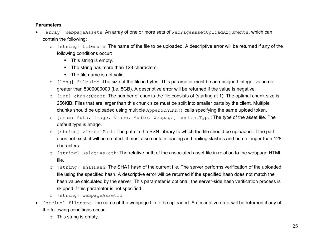#### **Parameters**

- [array] webpageAssets: An array of one or more sets of WebPageAssetUploadArguments, which can contain the following:
	- o [string] filename: The name of the file to be uploaded. A descriptive error will be returned if any of the following conditions occur:
		- **This string is empty.**
		- The string has more than 128 characters.
		- The file name is not valid.
	- o [long] filesize: The size of the file in bytes. This parameter must be an unsigned integer value no greater than 5000000000 (i.e. 5GB). A descriptive error will be returned if the value is negative.
	- o [int] chunksCount: The number of chunks the file consists of (starting at 1). The optimal chunk size is 256KiB. Files that are larger than this chunk size must be split into smaller parts by the client. Multiple chunks should be uploaded using multiple AppendChunk() calls specifying the same upload token.
	- o [enum: Auto, Image, Video, Audio, Webpage] contentType: The type of the asset file. The default type is Image.
	- o [string] virtualPath: The path in the BSN Library to which the file should be uploaded. If the path does not exist, it will be created. It must also contain leading and trailing slashes and be no longer than 128 characters.
	- o [string] RelativePath: The relative path of the associated asset file in relation to the webpage HTML file.
	- o [string] sha1Hash: The SHA1 hash of the current file. The server performs verification of the uploaded file using the specified hash. A descriptive error will be returned if the specified hash does not match the hash value calculated by the server. This parameter is optional; the server-side hash verification process is skipped if this parameter is not specified.
	- o [string] webpageAssetId
- [string] filename: The name of the webpage file to be uploaded. A descriptive error will be returned if any of the following conditions occur:
	- o This string is empty.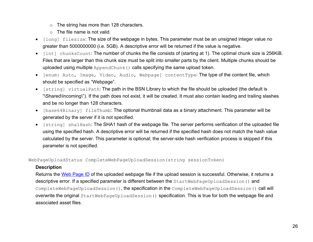- o The string has more than 128 characters.
- $\circ$  The file name is not valid.
- [long] filesize: The size of the webpage in bytes. This parameter must be an unsigned integer value no greater than 5000000000 (i.e. 5GB). A descriptive error will be returned if the value is negative.
- [int] chunksCount: The number of chunks the file consists of (starting at 1). The optimal chunk size is 256KiB. Files that are larger than this chunk size must be split into smaller parts by the client. Multiple chunks should be uploaded using multiple AppendChunk() calls specifying the same upload token.
- [enum: Auto, Image, Video, Audio, Webpage] contentType: The type of the content file, which should be specified as "Webpage".
- [string] virtualPath: The path in the BSN Library to which the file should be uploaded (the default is "\Shared\Incoming\"). If the path does not exist, it will be created. It must also contain leading and trailing slashes and be no longer than 128 characters.
- [base64Binary] fileThumb: The optional thumbnail data as a binary attachment. This parameter will be generated by the server if it is not specified.
- [string] sha1Hash: The SHA1 hash of the webpage file. The server performs verification of the uploaded file using the specified hash. A descriptive error will be returned if the specified hash does not match the hash value calculated by the server. This parameter is optional; the server-side hash verification process is skipped if this parameter is not specified.

WebPageUploadStatus CompleteWebPageUploadSession(string sessionToken)

### **Description**

Returns the [Web Page ID](#page-63-0) of the uploaded webpage file if the upload session is successful. Otherwise, it returns a descriptive error. If a specified parameter is different between the StartWebPageUploadSession() and CompleteWebPageUploadSession(), the specification in the CompleteWebPageUploadSession() call will overwrite the original StartWebPageUploadSession() specification. This is true for both the webpage file and associated asset files.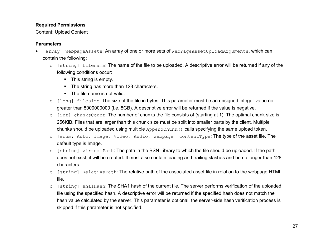### **Required Permissions**

Content: Upload Content

### **Parameters**

- [array] webpageAssets: An array of one or more sets of WebPageAssetUploadArguments, which can contain the following:
	- o [string] filename: The name of the file to be uploaded. A descriptive error will be returned if any of the following conditions occur:
		- **This string is empty.**
		- The string has more than 128 characters.
		- The file name is not valid.
	- o [long] filesize: The size of the file in bytes. This parameter must be an unsigned integer value no greater than 5000000000 (i.e. 5GB). A descriptive error will be returned if the value is negative.
	- o [int] chunksCount: The number of chunks the file consists of (starting at 1). The optimal chunk size is 256KiB. Files that are larger than this chunk size must be split into smaller parts by the client. Multiple chunks should be uploaded using multiple AppendChunk() calls specifying the same upload token.
	- o [enum: Auto, Image, Video, Audio, Webpage] contentType: The type of the asset file. The default type is Image.
	- o [string] virtualPath: The path in the BSN Library to which the file should be uploaded. If the path does not exist, it will be created. It must also contain leading and trailing slashes and be no longer than 128 characters.
	- o [string] RelativePath: The relative path of the associated asset file in relation to the webpage HTML file.
	- o [string] sha1Hash: The SHA1 hash of the current file. The server performs verification of the uploaded file using the specified hash. A descriptive error will be returned if the specified hash does not match the hash value calculated by the server. This parameter is optional; the server-side hash verification process is skipped if this parameter is not specified.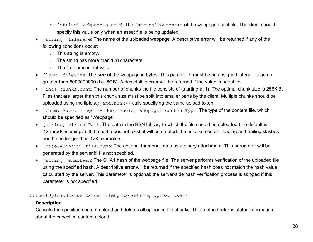- o [string] webpageAssetId: The [string]ContentId of the webpage asset file. The client should specify this value only when an asset file is being updated.
- [string] filename: The name of the uploaded webpage. A descriptive error will be returned if any of the following conditions occur:
	- o This string is empty.
	- o The string has more than 128 characters.
	- o The file name is not valid.
- [long] filesize: The size of the webpage in bytes. This parameter must be an unsigned integer value no greater than 5000000000 (i.e. 5GB). A descriptive error will be returned if the value is negative.
- [int] chunksCount: The number of chunks the file consists of (starting at 1). The optimal chunk size is 256KiB. Files that are larger than this chunk size must be split into smaller parts by the client. Multiple chunks should be uploaded using multiple AppendChunk() calls specifying the same upload token.
- [enum: Auto, Image, Video, Audio, Webpage] contentType: The type of the content file, which should be specified as "Webpage".
- [string] virtualPath: The path in the BSN Library to which the file should be uploaded (the default is "\Shared\Incoming\"). If the path does not exist, it will be created. It must also contain leading and trailing slashes and be no longer than 128 characters.
- [base64Binary] fileThumb: The optional thumbnail data as a binary attachment. This parameter will be generated by the server if it is not specified.
- [string] sha1Hash: The SHA1 hash of the webpage file. The server performs verification of the uploaded file using the specified hash. A descriptive error will be returned if the specified hash does not match the hash value calculated by the server. This parameter is optional; the server-side hash verification process is skipped if this parameter is not specified.

ContentUploadStatus CancelFileUpload(string uploadToken)

### **Description**

Cancels the specified content upload and deletes all uploaded file chunks. This method returns status information about the cancelled content upload.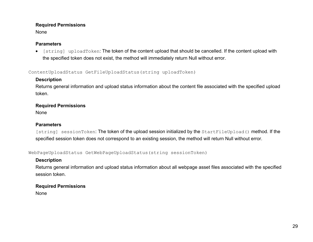### **Required Permissions**

None

### **Parameters**

• [string] uploadToken: The token of the content upload that should be cancelled. If the content upload with the specified token does not exist, the method will immediately return Null without error.

ContentUploadStatus GetFileUploadStatus(string uploadToken)

### **Description**

Returns general information and upload status information about the content file associated with the specified upload token.

# **Required Permissions**

None

### **Parameters**

[string] sessionToken: The token of the upload session initialized by the StartFileUpload() method. If the specified session token does not correspond to an existing session, the method will return Null without error.

WebPageUploadStatus GetWebPageUploadStatus(string sessionToken)

# **Description**

Returns general information and upload status information about all webpage asset files associated with the specified session token.

# **Required Permissions**

None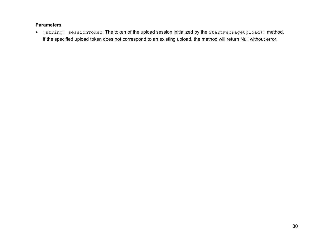### **Parameters**

• [string] sessionToken: The token of the upload session initialized by the StartWebPageUpload() method. If the specified upload token does not correspond to an existing upload, the method will return Null without error.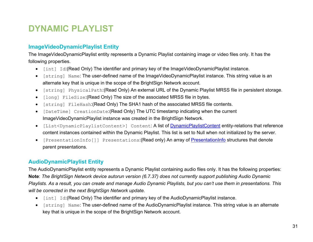# **DYNAMIC PLAYLIST**

# <span id="page-41-1"></span>**ImageVideoDynamicPlaylist Entity**

The ImageVideoDynamicPlaylist entity represents a Dynamic Playlist containing image or video files only. It has the following properties.

- [int] Id:(Read Only) The identifier and primary key of the ImageVideoDynamicPlaylist instance.
- [string] Name: The user-defined name of the ImageVideoDynamicPlaylist instance. This string value is an alternate key that is unique in the scope of the BrightSign Network account.
- [string] PhysicalPath:(Read Only) An external URL of the Dynamic Playlist MRSS file in persistent storage.
- [long] FileSize:(Read Only) The size of the associated MRSS file in bytes.
- [string] FileHash:(Read Only) The SHA1 hash of the associated MRSS file contents.
- [DateTime] CreationDate:(Read Only) The UTC timestamp indicating when the current ImageVideoDynamicPlaylist instance was created in the BrightSign Network.
- [List<DynamicPlaylistContent>] Content: A list of [DynamicPlaylistContent](#page-19-0) entity-relations that reference content instances contained within the Dynamic Playlist. This list is set to Null when not initialized by the server.
- [PresentationInfo[]] Presentations: (Read only) An array of [PresentationInfo](#page-21-0) structures that denote parent presentations.

# <span id="page-41-0"></span>**AudioDynamicPlaylist Entity**

The AudioDynamicPlaylist entity represents a Dynamic Playlist containing audio files only. It has the following properties: **Note**: *The BrightSign Network device autorun version (6.7.37) does not currently support publishing Audio Dynamic Playlists. As a result, you can create and manage Audio Dynamic Playlists, but you can't use them in presentations. This will be corrected in the next BrightSign Network update.*

- [int] Id:(Read Only) The identifier and primary key of the AudioDynamicPlaylist instance.
- [string] Name: The user-defined name of the AudioDynamicPlaylist instance. This string value is an alternate key that is unique in the scope of the BrightSign Network account.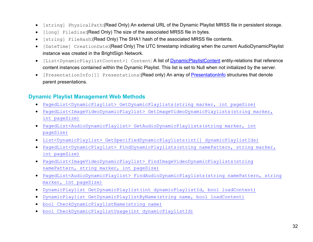- [string] PhysicalPath:(Read Only) An external URL of the Dynamic Playlist MRSS file in persistent storage.
- [long] FileSize:(Read Only) The size of the associated MRSS file in bytes.
- [string] FileHash:(Read Only) The SHA1 hash of the associated MRSS file contents.
- [DateTime] CreationDate:(Read Only) The UTC timestamp indicating when the current AudioDynamicPlaylist instance was created in the BrightSign Network.
- [List<DynamicPlaylistContent>] Content: A list of [DynamicPlaylistContent](#page-19-0) entity-relations that reference content instances contained within the Dynamic Playlist. This list is set to Null when not initialized by the server.
- [PresentationInfo[]] Presentations: (Read only) An array of [PresentationInfo](#page-21-0) structures that denote parent presentations.

# **Dynamic Playlist Management Web Methods**

- [PagedList<DynamicPlaylist> GetDynamicPlaylists\(string](#page-43-0) marker, int pageSize)
- [PagedList<ImageVideoDynamicPlaylist> GetImageVideoDynamicPlaylists\(string](#page-44-0) marker, [int pageSize\)](#page-44-0)
- [PagedList<AudioDynamicPlaylist> GetAudioDynamicPlaylists\(string](#page-43-0) marker, int [pageSize\)](#page-43-0)
- [List<DynamicPlaylist> GetSpecifiedDynamicPlaylists\(int\[\] dynamicPlaylistIds\)](#page-44-0)
- [PagedList<DynamicPlaylist> FindDynamicPlaylists\(string namePattern, string](#page-45-0) marker, [int pageSize\)](#page-45-0)
- [PagedList<ImageVideoDynamicPlaylist> FindImageVideoDynamicPlaylists\(string](#page-46-0)  namePattern, string [marker, int pageSize\)](#page-46-0)
- [PagedList<AudioDynamicPlaylist> FindAudioDynamicPlaylists\(string namePattern, string](#page-44-1) [marker, int pageSize\)](#page-44-1)
- [DynamicPlaylist GetDynamicPlaylist\(int dynamicPlaylistId, bool loadContent\)](#page-46-0)
- [DynamicPlaylist GetDynamicPlaylistByName\(string name, bool loadContent\)](#page-48-0)
- [bool CheckDynamicPlaylistName\(string name\)](#page-48-0)
- [bool CheckDynamicPlaylistUsage\(int dynamicPlaylistId\)](#page-49-0)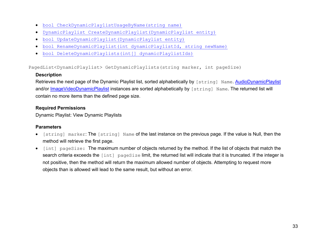- [bool CheckDynamicPlaylistUsageByName\(string name\)](#page-50-0)
- [DynamicPlaylist CreateDynamicPlaylist\(DynamicPlaylist entity\)](#page-50-1)
- [bool UpdateDynamicPlaylist\(DynamicPlaylist entity\)](#page-51-0)
- [bool RenameDynamicPlaylist\(int dynamicPlaylistId, string newName\)](#page-52-0)
- [bool DeleteDynamicPlaylists\(int\[\] dynamicPlaylistIds\)](#page-52-1)

<span id="page-43-0"></span>PagedList<DynamicPlaylist> GetDynamicPlaylists(string marker, int pageSize)

#### **Description**

Retrieves the next page of the Dynamic Playlist list, sorted alphabetically by [string] Name. [AudioDynamicPlaylist](#page-41-0) and/or [ImageVideoDynamicPlaylist](#page-41-1) instances are sorted alphabetically by [string] Name. The returned list will contain no more items than the defined page size.

#### **Required Permissions**

Dynamic Playlist: View Dynamic Playlists

### **Parameters**

- [string] marker: The [string] Name of the last instance on the previous page. If the value is Null, then the method will retrieve the first page.
- [int] pageSize: The maximum number of objects returned by the method. If the list of objects that match the search criteria exceeds the [int] pageSize limit, the returned list will indicate that it is truncated. If the integer is not positive, then the method will return the maximum allowed number of objects. Attempting to request more objects than is allowed will lead to the same result, but without an error.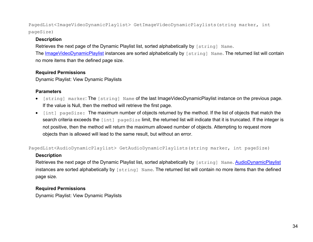<span id="page-44-0"></span>PagedList<ImageVideoDynamicPlaylist> GetImageVideoDynamicPlaylists(string marker, int pageSize)

### **Description**

Retrieves the next page of the Dynamic Playlist list, sorted alphabetically by [string] Name.

The [ImageVideoDynamicPlaylist](#page-41-1) instances are sorted alphabetically by [string] Name. The returned list will contain no more items than the defined page size.

# **Required Permissions**

Dynamic Playlist: View Dynamic Playlists

# **Parameters**

- [string] marker: The [string] Name of the last ImageVideoDynamicPlaylist instance on the previous page. If the value is Null, then the method will retrieve the first page.
- [int] pageSize: The maximum number of objects returned by the method. If the list of objects that match the search criteria exceeds the [int] pageSize limit, the returned list will indicate that it is truncated. If the integer is not positive, then the method will return the maximum allowed number of objects. Attempting to request more objects than is allowed will lead to the same result, but without an error.

<span id="page-44-1"></span>PagedList<AudioDynamicPlaylist> GetAudioDynamicPlaylists(string marker, int pageSize)

# **Description**

Retrieves the next page of the Dynamic Playlist list, sorted alphabetically by [string] Name. [AudioDynamicPlaylist](#page-41-0) instances are sorted alphabetically by [string] Name. The returned list will contain no more items than the defined page size.

# **Required Permissions**

Dynamic Playlist: View Dynamic Playlists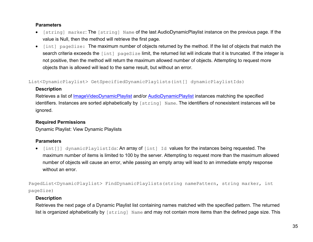#### **Parameters**

- [string] marker: The [string] Name of the last AudioDynamicPlaylist instance on the previous page. If the value is Null, then the method will retrieve the first page.
- [int] pageSize: The maximum number of objects returned by the method. If the list of objects that match the search criteria exceeds the [int] pageSize limit, the returned list will indicate that it is truncated. If the integer is not positive, then the method will return the maximum allowed number of objects. Attempting to request more objects than is allowed will lead to the same result, but without an error.

List<DynamicPlaylist> GetSpecifiedDynamicPlaylists(int[] dynamicPlaylistIds)

### **Description**

Retrieves a list of [ImageVideoDynamicPlaylist](#page-41-1) and/or [AudioDynamicPlaylist](#page-41-0) instances matching the specified identifiers. Instances are sorted alphabetically by  $\lceil s \cdot \text{triangle} \rceil$  Name. The identifiers of nonexistent instances will be ignored.

# **Required Permissions**

Dynamic Playlist: View Dynamic Playlists

# **Parameters**

• [int[]] dynamicPlaylistIds: An array of [int] Id values for the instances being requested. The maximum number of items is limited to 100 by the server. Attempting to request more than the maximum allowed number of objects will cause an error, while passing an empty array will lead to an immediate empty response without an error.

<span id="page-45-0"></span>PagedList<DynamicPlaylist> FindDynamicPlaylists(string namePattern, string marker, int pageSize)

# **Description**

Retrieves the next page of a Dynamic Playlist list containing names matched with the specified pattern. The returned list is organized alphabetically by  $\lceil \text{string} \rceil$  Name and may not contain more items than the defined page size. This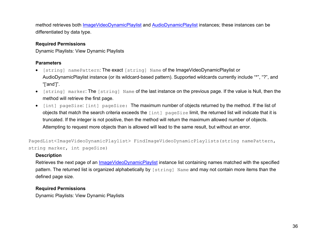method retrieves both [ImageVideoDynamicPlaylist](#page-41-1) and [AudioDynamicPlaylist](#page-41-0) instances; these instances can be differentiated by data type.

# **Required Permissions**

Dynamic Playlists: View Dynamic Playlists

# **Parameters**

- [string] namePattern: The exact [string] Name of the ImageVideoDynamicPlaylist or AudioDynamicPlaylist instance (or its wildcard-based pattern). Supported wildcards currently include "\*", "?", and "['and']".
- [string] marker: The [string] Name of the last instance on the previous page. If the value is Null, then the method will retrieve the first page.
- [int] pageSize: [int] pageSize: The maximum number of objects returned by the method. If the list of objects that match the search criteria exceeds the [int] pageSize limit, the returned list will indicate that it is truncated. If the integer is not positive, then the method will return the maximum allowed number of objects. Attempting to request more objects than is allowed will lead to the same result, but without an error.

<span id="page-46-0"></span>PagedList<ImageVideoDynamicPlaylist> FindImageVideoDynamicPlaylists(string namePattern, string marker, int pageSize)

### **Description**

Retrieves the next page of an [ImageVideoDynamicPlaylist](#page-41-1) instance list containing names matched with the specified pattern. The returned list is organized alphabetically by [string] Name and may not contain more items than the defined page size.

# **Required Permissions**

Dynamic Playlists: View Dynamic Playlists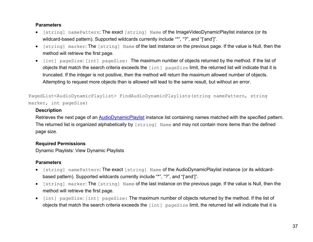#### **Parameters**

- [string] namePattern: The exact [string] Name of the ImageVideoDynamicPlaylist instance (or its wildcard-based pattern). Supported wildcards currently include "\*", "?", and "['and']".
- [string] marker: The [string] Name of the last instance on the previous page. If the value is Null, then the method will retrieve the first page.
- [int] pageSize: [int] pageSize: The maximum number of objects returned by the method. If the list of objects that match the search criteria exceeds the [int] pageSize limit, the returned list will indicate that it is truncated. If the integer is not positive, then the method will return the maximum allowed number of objects. Attempting to request more objects than is allowed will lead to the same result, but without an error.

PagedList<AudioDynamicPlaylist> FindAudioDynamicPlaylists(string namePattern, string marker, int pageSize)

### **Description**

Retrieves the next page of an [AudioDynamicPlaylist](#page-41-1) instance list containing names matched with the specified pattern. The returned list is organized alphabetically by [string] Name and may not contain more items than the defined page size.

### **Required Permissions**

Dynamic Playlists: View Dynamic Playlists

# **Parameters**

- [string] namePattern: The exact [string] Name of the AudioDynamicPlaylist instance (or its wildcardbased pattern). Supported wildcards currently include "\*", "?", and "['and']".
- [string] marker: The [string] Name of the last instance on the previous page. If the value is Null, then the method will retrieve the first page.
- [int] pageSize: [int] pageSize: The maximum number of objects returned by the method. If the list of objects that match the search criteria exceeds the [int] pageSize limit, the returned list will indicate that it is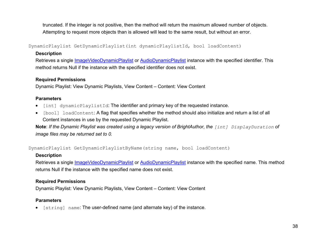truncated. If the integer is not positive, then the method will return the maximum allowed number of objects. Attempting to request more objects than is allowed will lead to the same result, but without an error.

DynamicPlaylist GetDynamicPlaylist(int dynamicPlaylistId, bool loadContent)

### **Description**

Retrieves a single *ImageVideoDynamicPlaylist* or **AudioDynamicPlaylist** instance with the specified identifier. This method returns Null if the instance with the specified identifier does not exist.

### **Required Permissions**

Dynamic Playlist: View Dynamic Playlists, View Content – Content: View Content

# **Parameters**

- [int] dynamicPlaylistId: The identifier and primary key of the requested instance.
- [bool] loadContent: A flag that specifies whether the method should also initialize and return a list of all Content instances in use by the requested Dynamic Playlist.

**Note**: *If the Dynamic Playlist was created using a legacy version of BrightAuthor, the [int] DisplayDuration of image files may be returned set to 0.*

<span id="page-48-0"></span>DynamicPlaylist GetDynamicPlaylistByName(string name, bool loadContent)

# **Description**

Retrieves a single [ImageVideoDynamicPlaylist](#page-41-1) or [AudioDynamicPlaylist](#page-41-0) instance with the specified name. This method returns Null if the instance with the specified name does not exist.

# **Required Permissions**

Dynamic Playlist: View Dynamic Playlists, View Content – Content: View Content

# **Parameters**

• [string] name: The user-defined name (and alternate key) of the instance.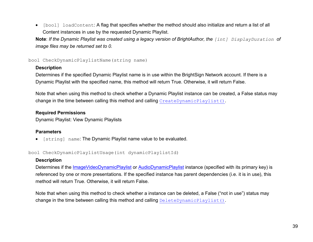• [bool] loadContent: A flag that specifies whether the method should also initialize and return a list of all Content instances in use by the requested Dynamic Playlist.

**Note**: *If the Dynamic Playlist was created using a legacy version of BrightAuthor, the [int] DisplayDuration of image files may be returned set to 0.*

bool CheckDynamicPlaylistName(string name)

### **Description**

Determines if the specified Dynamic Playlist name is in use within the BrightSign Network account. If there is a Dynamic Playlist with the specified name, this method will return True. Otherwise, it will return False.

Note that when using this method to check whether a Dynamic Playlist instance can be created, a False status may change in the time between calling this method and calling [CreateDynamicPlaylist\(\)](#page-50-1).

### **Required Permissions**

Dynamic Playlist: View Dynamic Playlists

# **Parameters**

• [string] name: The Dynamic Playlist name value to be evaluated.

<span id="page-49-0"></span>bool CheckDynamicPlaylistUsage(int dynamicPlaylistId)

# **Description**

Determines if the [ImageVideoDynamicPlaylist](#page-41-1) or [AudioDynamicPlaylist](#page-41-0) instance (specified with its primary key) is referenced by one or more presentations. If the specified instance has parent dependencies (i.e. it is in use), this method will return True. Otherwise, it will return False.

Note that when using this method to check whether a instance can be deleted, a False ("not in use") status may change in the time between calling this method and calling [DeleteDynamicPlaylist\(\)](#page-52-1).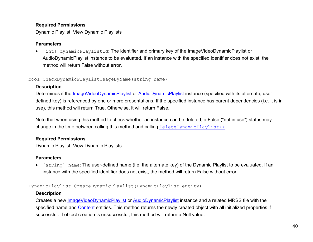### **Required Permissions**

Dynamic Playlist: View Dynamic Playlists

#### **Parameters**

• [int] dynamicPlaylistId: The identifier and primary key of the ImageVideoDynamicPlaylist or AudioDynamicPlaylist instance to be evaluated. If an instance with the specified identifier does not exist, the method will return False without error.

<span id="page-50-0"></span>bool CheckDynamicPlaylistUsageByName(string name)

### **Description**

Determines if the *ImageVideoDynamicPlaylist* or **AudioDynamicPlaylist** instance (specified with its alternate, userdefined key) is referenced by one or more presentations. If the specified instance has parent dependencies (i.e. it is in use), this method will return True. Otherwise, it will return False.

Note that when using this method to check whether an instance can be deleted, a False ("not in use") status may change in the time between calling this method and calling [DeleteDynamicPlaylist\(\)](#page-52-1).

### **Required Permissions**

Dynamic Playlist: View Dynamic Playlists

### **Parameters**

[string] name: The user-defined name (i.e. the alternate key) of the Dynamic Playlist to be evaluated. If an instance with the specified identifier does not exist, the method will return False without error.

<span id="page-50-1"></span>DynamicPlaylist CreateDynamicPlaylist(DynamicPlaylist entity)

### **Description**

Creates a new **ImageVideoDynamicPlaylist** or **AudioDynamicPlaylist** instance and a related MRSS file with the specified name and [Content](#page-17-0) entities. This method returns the newly created object with all initialized properties if successful. If object creation is unsuccessful, this method will return a Null value.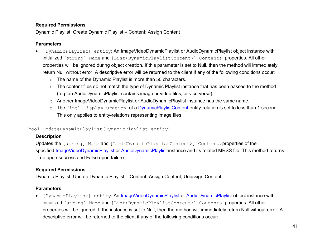### **Required Permissions**

Dynamic Playlist: Create Dynamic Playlist – Content: Assign Content

### **Parameters**

- [DynamicPlaylist] entity: An ImageVideoDynamicPlaylist or AudioDynamicPlaylist object instance with initialized [string] Name and [List<DynamicPlaylistContent>] Contents properties. All other properties will be ignored during object creation. If this parameter is set to Null, then the method will immediately return Null without error. A descriptive error will be returned to the client if any of the following conditions occur:
	- o The name of the Dynamic Playlist is more than 50 characters.
	- o The content files do not match the type of Dynamic Playlist instance that has been passed to the method (e.g. an AudioDynamicPlaylist contains image or video files, or vice versa).
	- o Another ImageVideoDynamicPlaylist or AudioDynamicPlaylist instance has the same name.
	- o The [int] DisplayDuration of a [DynamicPlaylistContent](#page-19-0) entity-relation is set to less than 1 second. This only applies to entity-relations representing image files.

### <span id="page-51-0"></span>bool UpdateDynamicPlaylist(DynamicPlaylist entity)

# **Description**

Updates the [string] Name and [List<DynamicPlaylistContent>] Contents properties of the specified [ImageVideoDynamicPlaylist](#page-41-1) or [AudioDynamicPlaylist](#page-41-0) instance and its related MRSS file. This method returns True upon success and False upon failure.

# **Required Permissions**

Dynamic Playlist: Update Dynamic Playlist – Content: Assign Content, Unassign Content

# **Parameters**

• [DynamicPlaylist] entity: An [ImageVideoDynamicPlaylist](#page-41-1) or [AudioDynamicPlaylist](#page-41-0) object instance with initialized [string] Name and [List<DynamicPlaylistContent>] Contents properties. All other properties will be ignored. If the instance is set to Null, then the method will immediately return Null without error. A descriptive error will be returned to the client if any of the following conditions occur: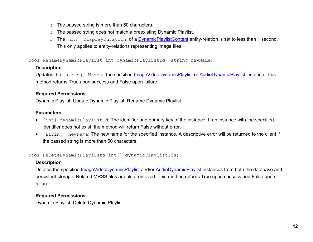- o The passed string is more than 50 characters.
- o The passed string does not match a preexisting Dynamic Playlist.
- <span id="page-52-0"></span>o The [int] DisplayDuration of a *DynamicPlaylistContent* entity-relation is set to less than 1 second. This only applies to entity-relations representing image files.

bool RenameDynamicPlaylist(int dynamicPlaylistId, string newName)

### **Description**

Updates the [string] Name of the specified [ImageVideoDynamicPlaylist](#page-41-1) or [AudioDynamicPlaylist](#page-41-0) instance. This method returns True upon success and False upon failure.

#### **Required Permissions**

Dynamic Playlist: Update Dynamic Playlist, Rename Dynamic Playlist

### **Parameters**

- [int] dynamicPlaylistId: The identifier and primary key of the instance. If an instance with the specified identifier does not exist, the method will return False without error.
- [string] newName: The new name for the specified instance. A descriptive error will be returned to the client if the passed string is more than 50 characters.

<span id="page-52-1"></span>bool DeleteDynamicPlaylists(int[] dynamicPlaylistIds)

# **Description**

Deletes the specified *ImageVideoDynamicPlaylist* and/or **AudioDynamicPlaylist** instances from both the database and persistent storage. Related MRSS files are also removed. This method returns True upon success and False upon failure.

# **Required Permissions**

Dynamic Playlist: Delete Dynamic Playlist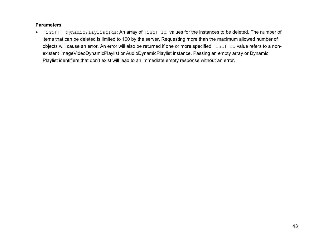#### **Parameters**

• [int[]] dynamicPlaylistIds: An array of [int] Id values for the instances to be deleted. The number of items that can be deleted is limited to 100 by the server. Requesting more than the maximum allowed number of objects will cause an error. An error will also be returned if one or more specified [int] Id value refers to a nonexistent ImageVideoDynamicPlaylist or AudioDynamicPlaylist instance. Passing an empty array or Dynamic Playlist identifiers that don't exist will lead to an immediate empty response without an error.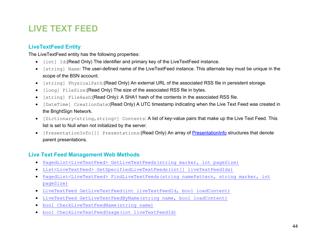# **LIVE TEXT FEED**

# <span id="page-54-0"></span>**LiveTextFeed Entity**

The LiveTextFeed entity has the following properties:

- [int] Id:(Read Only) The identifier and primary key of the LiveTextFeed instance.
- [string] Name: The user-defined name of the LiveTextFeed instance. This alternate key must be unique in the scope of the BSN account.
- [string] PhysicalPath:(Read Only) An external URL of the associated RSS file in persistent storage.
- [long] FileSize:(Read Only) The size of the associated RSS file in bytes.
- [string] FileHash:(Read Only): A SHA1 hash of the contents in the associated RSS file.
- [DateTime] CreationDate:(Read Only) A UTC timestamp indicating when the Live Text Feed was created in the BrightSign Network.
- [Dictionary<string, string>] Contents: A list of key-value pairs that make up the Live Text Feed. This list is set to Null when not initialized by the server.
- [PresentationInfo[]] Presentations: (Read Only) An array of [PresentationInfo](#page-21-0) structures that denote parent presentations.

# **Live Text Feed Management Web Methods**

- [PagedList<LiveTextFeed> GetLiveTextFeeds\(string](#page-55-0) marker, int pageSize)
- [List<LiveTextFeed> GetSpecifiedLiveTextFeeds\(int\[\] liveTextFeedIds\)](#page-55-1)
- [PagedList<LiveTextFeed> FindLiveTextFeeds\(string namePattern, string](#page-56-0) marker, int [pageSize\)](#page-56-0)
- [LiveTextFeed GetLiveTextFeed\(int liveTextFeedId, bool loadContent\)](#page-57-0)
- [LiveTextFeed GetLiveTextFeedByName\(string name, bool loadContent\)](#page-57-1)
- [bool CheckLiveTextFeedName\(string name\)](#page-58-0)
- [bool CheckLiveTextFeedUsage\(int liveTextFeedId\)](#page-58-1)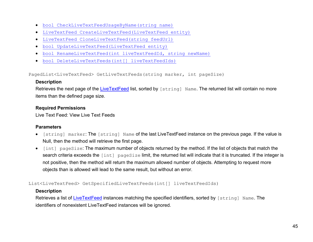- [bool CheckLiveTextFeedUsageByName\(string name\)](#page-59-0)
- [LiveTextFeed CreateLiveTextFeed\(LiveTextFeed entity\)](#page-59-1)
- [LiveTextFeed CloneLiveTextFeed\(string feedUrl\)](#page-60-0)
- [bool UpdateLiveTextFeed\(LiveTextFeed entity\)](#page-60-1)
- [bool RenameLiveTextFeed\(int liveTextFeedId, string newName\)](#page-61-0)
- [bool DeleteLiveTextFeeds\(int\[\] liveTextFeedIds\)](#page-62-0)

<span id="page-55-0"></span>PagedList<LiveTextFeed> GetLiveTextFeeds(string marker, int pageSize)

#### **Description**

Retrieves the next page of the [LiveTextFeed](#page-54-0) list, sorted by [string] Name. The returned list will contain no more items than the defined page size.

#### **Required Permissions**

Live Text Feed: View Live Text Feeds

#### **Parameters**

- [string] marker: The [string] Name of the last LiveTextFeed instance on the previous page. If the value is Null, then the method will retrieve the first page.
- [int] pageSize: The maximum number of objects returned by the method. If the list of objects that match the search criteria exceeds the [int] pageSize limit, the returned list will indicate that it is truncated. If the integer is not positive, then the method will return the maximum allowed number of objects. Attempting to request more objects than is allowed will lead to the same result, but without an error.

<span id="page-55-1"></span>List<LiveTextFeed> GetSpecifiedLiveTextFeeds(int[] liveTextFeedIds)

#### **Description**

Retrieves a list of [LiveTextFeed](#page-54-0) instances matching the specified identifiers, sorted by [string] Name. The identifiers of nonexistent LiveTextFeed instances will be ignored.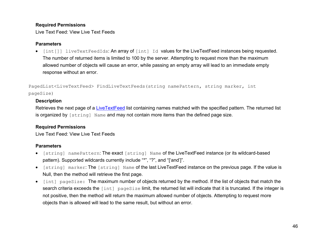#### **Required Permissions**

Live Text Feed: View Live Text Feeds

#### **Parameters**

• [int[]] liveTextFeedIds: An array of [int] Id values for the LiveTextFeed instances being requested. The number of returned items is limited to 100 by the server. Attempting to request more than the maximum allowed number of objects will cause an error, while passing an empty array will lead to an immediate empty response without an error.

<span id="page-56-0"></span>PagedList<LiveTextFeed> FindLiveTextFeeds(string namePattern, string marker, int pageSize)

#### **Description**

Retrieves the next page of a [LiveTextFeed](#page-54-0) list containing names matched with the specified pattern. The returned list is organized by [string] Name and may not contain more items than the defined page size.

### **Required Permissions**

Live Text Feed: View Live Text Feeds

### **Parameters**

- [string] namePattern: The exact [string] Name of the LiveTextFeed instance (or its wildcard-based pattern). Supported wildcards currently include "\*", "?", and "['and']".
- [string] marker: The [string] Name of the last LiveTextFeed instance on the previous page. If the value is Null, then the method will retrieve the first page.
- [int] pageSize: The maximum number of objects returned by the method. If the list of objects that match the search criteria exceeds the [int] pageSize limit, the returned list will indicate that it is truncated. If the integer is not positive, then the method will return the maximum allowed number of objects. Attempting to request more objects than is allowed will lead to the same result, but without an error.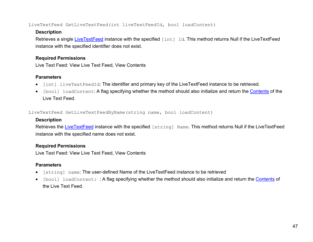<span id="page-57-0"></span>LiveTextFeed GetLiveTextFeed(int liveTextFeedId, bool loadContent)

### **Description**

Retrieves a single [LiveTextFeed](#page-54-0) instance with the specified [int] Id. This method returns Null if the LiveTextFeed instance with the specified identifier does not exist.

### **Required Permissions**

Live Text Feed: View Live Text Feed, View Contents

# **Parameters**

- [int] liveTextFeedId: The identifier and primary key of the LiveTextFeed instance to be retrieved.
- [bool] loadContent: A flag specifying whether the method should also initialize and return the [Contents](#page-17-0) of the Live Text Feed.

<span id="page-57-1"></span>LiveTextFeed GetLiveTextFeedByName(string name, bool loadContent)

# **Description**

Retrieves the [LiveTextFeed](#page-54-0) instance with the specified [string] Name. This method returns Null if the LiveTextFeed instance with the specified name does not exist.

# **Required Permissions**

Live Text Feed: View Live Text Feed, View Contents

# **Parameters**

- [string] name: The user-defined Name of the LiveTextFeed instance to be retrieved
- [bool] loadContent: : A flag specifying whether the method should also initialize and return the [Contents](#page-17-0) of the Live Text Feed.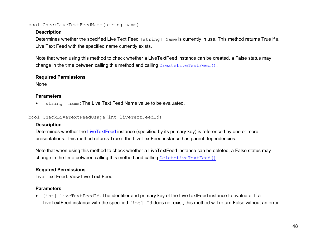#### <span id="page-58-0"></span>bool CheckLiveTextFeedName(string name)

#### **Description**

Determines whether the specified Live Text Feed [string] Name is currently in use. This method returns True if a Live Text Feed with the specified name currently exists.

Note that when using this method to check whether a LiveTextFeed instance can be created, a False status may change in the time between calling this method and calling [CreateLiveTextFeed\(\)](#page-59-1).

#### **Required Permissions**

None

#### **Parameters**

• [string] name: The Live Text Feed Name value to be evaluated.

<span id="page-58-1"></span>bool CheckLiveTextFeedUsage(int liveTextFeedId)

### **Description**

Determines whether the [LiveTextFeed](#page-54-0) instance (specified by its primary key) is referenced by one or more presentations. This method returns True if the LiveTextFeed instance has parent dependencies.

Note that when using this method to check whether a LiveTextFeed instance can be deleted, a False status may change in the time between calling this method and calling [DeleteLiveTextFeed\(\)](#page-62-0).

### **Required Permissions**

Live Text Feed: View Live Text Feed

### **Parameters**

• [int] liveTextFeedId: The identifier and primary key of the LiveTextFeed instance to evaluate. If a LiveTextFeed instance with the specified [int] Id does not exist, this method will return False without an error.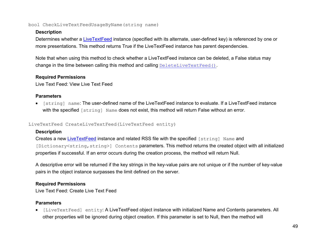#### <span id="page-59-0"></span>bool CheckLiveTextFeedUsageByName(string name)

#### **Description**

Determines whether a [LiveTextFeed](#page-54-0) instance (specified with its alternate, user-defined key) is referenced by one or more presentations. This method returns True if the LiveTextFeed instance has parent dependencies.

Note that when using this method to check whether a LiveTextFeed instance can be deleted, a False status may change in the time between calling this method and calling [DeleteLiveTextFeed\(\)](#page-62-0).

#### **Required Permissions**

Live Text Feed: View Live Text Feed

#### **Parameters**

• [string] name: The user-defined name of the LiveTextFeed instance to evaluate. If a LiveTextFeed instance with the specified [string] Name does not exist, this method will return False without an error.

#### <span id="page-59-1"></span>LiveTextFeed CreateLiveTextFeed(LiveTextFeed entity)

### **Description**

Creates a new [LiveTextFeed](#page-54-0) instance and related RSS file with the specified [string] Name and [Dictionary<string, string>] Contents parameters. This method returns the created object with all initialized properties if successful. If an error occurs during the creation process, the method will return Null.

A descriptive error will be returned if the key strings in the key-value pairs are not unique or if the number of key-value pairs in the object instance surpasses the limit defined on the server.

### **Required Permissions**

Live Text Feed: Create Live Text Feed

### **Parameters**

• [LiveTextFeed] entity: A LiveTextFeed object instance with initialized Name and Contents parameters. All other properties will be ignored during object creation. If this parameter is set to Null, then the method will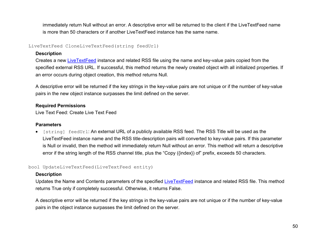immediately return Null without an error. A descriptive error will be returned to the client if the LiveTextFeed name is more than 50 characters or if another LiveTextFeed instance has the same name.

<span id="page-60-0"></span>LiveTextFeed CloneLiveTextFeed(string feedUrl)

#### **Description**

Creates a new [LiveTextFeed](#page-54-0) instance and related RSS file using the name and key-value pairs copied from the specified external RSS URL. If successful, this method returns the newly created object with all initialized properties. If an error occurs during object creation, this method returns Null.

A descriptive error will be returned if the key strings in the key-value pairs are not unique or if the number of key-value pairs in the new object instance surpasses the limit defined on the server.

### **Required Permissions**

Live Text Feed: Create Live Text Feed

### **Parameters**

• [string] feedUrl: An external URL of a publicly available RSS feed. The RSS Title will be used as the LiveTextFeed instance name and the RSS title-description pairs will converted to key-value pairs. If this parameter is Null or invalid, then the method will immediately return Null without an error. This method will return a descriptive error if the string length of the RSS channel title, plus the "Copy ({index}) of" prefix, exceeds 50 characters.

### <span id="page-60-1"></span>bool UpdateLiveTextFeed(LiveTextFeed entity)

### **Description**

Updates the Name and Contents parameters of the specified [LiveTextFeed](#page-54-0) instance and related RSS file. This method returns True only if completely successful. Otherwise, it returns False.

A descriptive error will be returned if the key strings in the key-value pairs are not unique or if the number of key-value pairs in the object instance surpasses the limit defined on the server.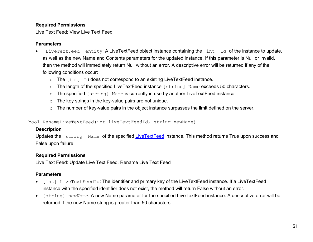### **Required Permissions**

Live Text Feed: View Live Text Feed

#### **Parameters**

- [LiveTextFeed] entity: A LiveTextFeed object instance containing the [int] Id of the instance to update, as well as the new Name and Contents parameters for the updated instance. If this parameter is Null or invalid, then the method will immediately return Null without an error. A descriptive error will be returned if any of the following conditions occur:
	- o The [int] Id does not correspond to an existing LiveTextFeed instance.
	- o The length of the specified LiveTextFeed instance [string] Name exceeds 50 characters.
	- o The specified [string] Name is currently in use by another LiveTextFeed instance.
	- o The key strings in the key-value pairs are not unique.
	- o The number of key-value pairs in the object instance surpasses the limit defined on the server.

<span id="page-61-0"></span>bool RenameLiveTextFeed(int liveTextFeedId, string newName)

### **Description**

Updates the [string] Name of the specified [LiveTextFeed](#page-54-0) instance. This method returns True upon success and False upon failure.

### **Required Permissions**

Live Text Feed: Update Live Text Feed, Rename Live Text Feed

### **Parameters**

- [int] LiveTextFeedId: The identifier and primary key of the LiveTextFeed instance. If a LiveTextFeed instance with the specified identifier does not exist, the method will return False without an error.
- [string] newName: A new Name parameter for the specified LiveTextFeed instance. A descriptive error will be returned if the new Name string is greater than 50 characters.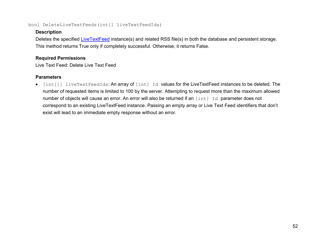#### <span id="page-62-0"></span>bool DeleteLiveTextFeeds(int[] liveTextFeedIds)

### **Description**

Deletes the specified [LiveTextFeed](#page-54-0) instance(s) and related RSS file(s) in both the database and persistent storage. This method returns True only if completely successful. Otherwise, it returns False.

### **Required Permissions**

Live Text Feed: Delete Live Text Feed

### **Parameters**

• [int[]] liveTextFeedIds: An array of [int] Id values for the LiveTextFeed instances to be deleted. The number of requested items is limited to 100 by the server. Attempting to request more than the maximum allowed number of objects will cause an error. An error will also be returned if an [int] Id parameter does not correspond to an existing LiveTextFeed instance. Passing an empty array or Live Text Feed identifiers that don't exist will lead to an immediate empty response without an error.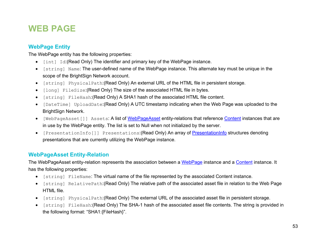# **WEB PAGE**

# <span id="page-63-0"></span>**WebPage Entity**

The WebPage entity has the following properties:

- [int] Id:(Read Only) The identifier and primary key of the WebPage instance.
- [string] Name: The user-defined name of the WebPage instance. This alternate key must be unique in the scope of the BrightSign Network account.
- [string] PhysicalPath:(Read Only) An external URL of the HTML file in persistent storage.
- [long] FileSize:(Read Only) The size of the associated HTML file in bytes.
- [string] FileHash:(Read Only) A SHA1 hash of the associated HTML file content.
- [DateTime] UploadDate:(Read Only) A UTC timestamp indicating when the Web Page was uploaded to the BrightSign Network.
- [WebPageAsset[]] Assets: A list of [WebPageAsset](#page-63-1) entity-relations that reference [Content](#page-17-0) instances that are in use by the WebPage entity. The list is set to Null when not initialized by the server.
- [PresentationInfo[]] Presentations: (Read Only) An array of [PresentationInfo](#page-21-0) structures denoting presentations that are currently utilizing the WebPage instance.

# <span id="page-63-1"></span>**WebPageAsset Entity-Relation**

The WebPageAsset entity-relation represents the association between a [WebPage](#page-63-0) instance and a [Content](#page-17-0) instance. It has the following properties:

- [string] FileName: The virtual name of the file represented by the associated Content instance.
- [string] RelativePath:(Read Only) The relative path of the associated asset file in relation to the Web Page HTML file.
- [string] PhysicalPath:(Read Only) The external URL of the associated asset file in persistent storage.
- [string] FileHash:(Read Only) The SHA-1 hash of the associated asset file contents. The string is provided in the following format: "SHA1:{FileHash}".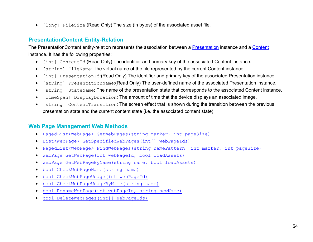• [long] FileSize:(Read Only) The size (in bytes) of the associated asset file.

# **PresentationContent Entity-Relation**

The PresentationContent entity-relation represents the association between a [Presentation](#page-78-0) instance and a [Content](#page-17-0) instance. It has the following properties:

- [int] ContentId:(Read Only) The identifier and primary key of the associated Content instance.
- [string] FileName: The virtual name of the file represented by the current Content instance.
- [int] PresentationId:(Read Only) The identifier and primary key of the associated Presentation instance.
- [string] PresentationName:(Read Only) The user-defined name of the associated Presentation instance.
- [string] StateName: The name of the presentation state that corresponds to the associated Content instance.
- [TimeSpan] DisplayDuration: The amount of time that the device displays an associated image.
- [string] ContentTransition: The screen effect that is shown during the transition between the previous presentation state and the current content state (i.e. the associated content state).

# **Web Page Management Web Methods**

- [PagedList<WebPage> GetWebPages\(string](#page-65-0) marker, int pageSize)
- [List<WebPage> GetSpecifiedWebPages\(int\[\] webPageIds\)](#page-65-1)
- [PagedList<WebPage> FindWebPages\(string namePattern, int marker, int pageSize\)](#page-66-0)
- [WebPage GetWebPage\(int webPageId, bool loadAssets\)](#page-66-1)
- [WebPage GetWebPageByName\(string name, bool loadAssets\)](#page-67-0)
- [bool CheckWebPageName\(string name\)](#page-67-1)
- [bool CheckWebPageUsage\(int webPageId\)](#page-68-0)
- [bool CheckWebPageUsageByName\(string name\)](#page-68-0)
- [bool RenameWebPage\(int webPageId, string newName\)](#page-69-0)
- [bool DeleteWebPages\(int\[\] webPageIds\)](#page-69-0)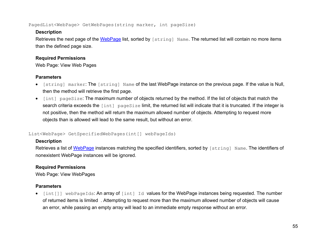<span id="page-65-0"></span>PagedList<WebPage> GetWebPages(string marker, int pageSize)

### **Description**

Retrieves the next page of the [WebPage](#page-63-0) list, sorted by [string] Name. The returned list will contain no more items than the defined page size.

# **Required Permissions**

Web Page: View Web Pages

# **Parameters**

- [string] marker: The [string] Name of the last WebPage instance on the previous page. If the value is Null, then the method will retrieve the first page.
- [int] pageSize: The maximum number of objects returned by the method. If the list of objects that match the search criteria exceeds the [int] pageSize limit, the returned list will indicate that it is truncated. If the integer is not positive, then the method will return the maximum allowed number of objects. Attempting to request more objects than is allowed will lead to the same result, but without an error.

### <span id="page-65-1"></span>List<WebPage> GetSpecifiedWebPages(int[] webPageIds)

# **Description**

Retrieves a list of [WebPage](#page-63-0) instances matching the specified identifiers, sorted by [string] Name. The identifiers of nonexistent WebPage instances will be ignored.

# **Required Permissions**

Web Page: View WebPages

# **Parameters**

• [int[]] webPageIds: An array of [int] Id values for the WebPage instances being requested. The number of returned items is limited . Attempting to request more than the maximum allowed number of objects will cause an error, while passing an empty array will lead to an immediate empty response without an error.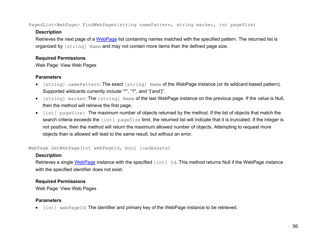<span id="page-66-0"></span>PagedList<WebPage> FindWebPages(string namePattern, string marker, int pageSize)

### **Description**

Retrieves the next page of a [WebPage](#page-63-0) list containing names matched with the specified pattern. The returned list is organized by [string] Name and may not contain more items than the defined page size.

### **Required Permissions**

Web Page: View Web Pages

### **Parameters**

- [string] namePattern: The exact [string] Name of the WebPage instance (or its wildcard-based pattern). Supported wildcards currently include "\*", "?", and "['and']".
- [string] marker: The [string] Name of the last WebPage instance on the previous page. If the value is Null, then the method will retrieve the first page.
- [int] pageSize: The maximum number of objects returned by the method. If the list of objects that match the search criteria exceeds the [int] pageSize limit, the returned list will indicate that it is truncated. If the integer is not positive, then the method will return the maximum allowed number of objects. Attempting to request more objects than is allowed will lead to the same result, but without an error.

<span id="page-66-1"></span>WebPage GetWebPage(int webPageId, bool loadAssets)

# **Description**

Retrieves a single [WebPage](#page-63-0) instance with the specified [int] Id. This method returns Null if the WebPage instance with the specified identifier does not exist.

# **Required Permissions**

Web Page: View Web Pages

# **Parameters**

• [int] webPageId: The identifier and primary key of the WebPage instance to be retrieved.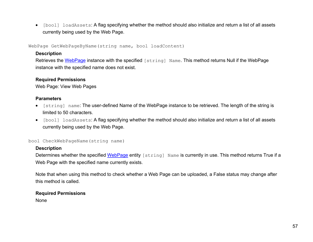• [bool] loadAssets: A flag specifying whether the method should also initialize and return a list of all assets currently being used by the Web Page.

<span id="page-67-0"></span>WebPage GetWebPageByName(string name, bool loadContent)

#### **Description**

Retrieves the [WebPage](#page-63-0) instance with the specified [string] Name. This method returns Null if the WebPage instance with the specified name does not exist.

#### **Required Permissions**

Web Page: View Web Pages

### **Parameters**

- [string] name: The user-defined Name of the WebPage instance to be retrieved. The length of the string is limited to 50 characters.
- [bool] loadAssets: A flag specifying whether the method should also initialize and return a list of all assets currently being used by the Web Page.

#### <span id="page-67-1"></span>bool CheckWebPageName(string name)

### **Description**

Determines whether the specified [WebPage](#page-63-0) entity [string] Name is currently in use. This method returns True if a Web Page with the specified name currently exists.

Note that when using this method to check whether a Web Page can be uploaded, a False status may change after this method is called.

### **Required Permissions**

None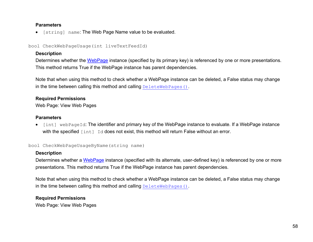#### **Parameters**

• [string] name: The Web Page Name value to be evaluated.

bool CheckWebPageUsage(int liveTextFeedId)

#### **Description**

Determines whether the [WebPage](#page-63-0) instance (specified by its primary key) is referenced by one or more presentations. This method returns True if the WebPage instance has parent dependencies.

Note that when using this method to check whether a WebPage instance can be deleted, a False status may change in the time between calling this method and calling [DeleteWebPages\(\)](#page-69-1).

#### **Required Permissions**

Web Page: View Web Pages

#### **Parameters**

• [int] webPageId: The identifier and primary key of the WebPage instance to evaluate. If a WebPage instance with the specified [int] Id does not exist, this method will return False without an error.

#### <span id="page-68-0"></span>bool CheckWebPageUsageByName(string name)

### **Description**

Determines whether a [WebPage](#page-63-0) instance (specified with its alternate, user-defined key) is referenced by one or more presentations. This method returns True if the WebPage instance has parent dependencies.

Note that when using this method to check whether a WebPage instance can be deleted, a False status may change in the time between calling this method and calling [DeleteWebPages\(\)](#page-69-1).

### **Required Permissions**

Web Page: View Web Pages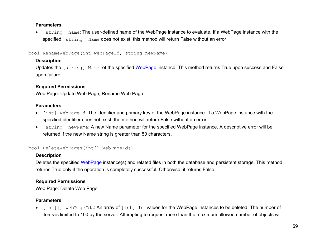#### **Parameters**

• [string] name: The user-defined name of the WebPage instance to evaluate. If a WebPage instance with the specified [string] Name does not exist, this method will return False without an error.

<span id="page-69-0"></span>bool RenameWebPage(int webPageId, string newName)

### **Description**

Updates the [string] Name of the specified [WebPage](#page-63-0) instance. This method returns True upon success and False upon failure.

### **Required Permissions**

Web Page: Update Web Page, Rename Web Page

#### **Parameters**

- [int] webPageId: The identifier and primary key of the WebPage instance. If a WebPage instance with the specified identifier does not exist, the method will return False without an error.
- [string] newName: A new Name parameter for the specified WebPage instance. A descriptive error will be returned if the new Name string is greater than 50 characters.

```
bool DeleteWebPages(int[] webPageIds)
```
### **Description**

Deletes the specified [WebPage](#page-63-0) instance(s) and related files in both the database and persistent storage. This method returns True only if the operation is completely successful. Otherwise, it returns False.

### **Required Permissions**

Web Page: Delete Web Page

### **Parameters**

• [int[]] webPageIds: An array of [int] Id values for the WebPage instances to be deleted. The number of items is limited to 100 by the server. Attempting to request more than the maximum allowed number of objects will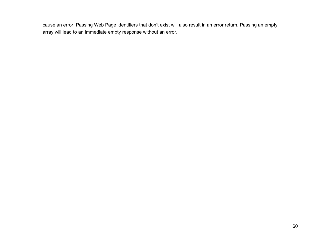cause an error. Passing Web Page identifiers that don't exist will also result in an error return. Passing an empty array will lead to an immediate empty response without an error.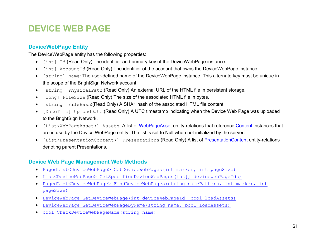# **DEVICE WEB PAGE**

# **DeviceWebPage Entity**

The DeviceWebPage entity has the following properties:

- [int] Id:(Read Only) The identifier and primary key of the DeviceWebPage instance.
- [int] AccountId:(Read Only) The identifier of the account that owns the DeviceWebPage instance.
- [string] Name: The user-defined name of the DeviceWebPage instance. This alternate key must be unique in the scope of the BrightSign Network account.
- [string] PhysicalPath:(Read Only) An external URL of the HTML file in persistent storage.
- [long] FileSize:(Read Only) The size of the associated HTML file in bytes.
- [string] FileHash:(Read Only) A SHA1 hash of the associated HTML file content.
- [DateTime] UploadDate:(Read Only) A UTC timestamp indicating when the Device Web Page was uploaded to the BrightSign Network.
- [List<WebPageAsset>] Assets: A list of [WebPageAsset](#page-63-1) entity-relations that reference [Content](#page-17-0) instances that are in use by the Device WebPage entity. The list is set to Null when not initialized by the server.
- [List<PresentationContent>] Presentations:(Read Only) A list of [PresentationContent](#page-19-1) entity-relations denoting parent Presentations.

# **Device Web Page Management Web Methods**

- [PagedList<DeviceWebPage> GetDeviceWebPages\(int marker, int pageSize\)](#page-72-0)
- [List<DeviceWebPage> GetSpecifiedDeviceWebPages\(int\[\] devicewebPageIds\)](#page-72-1)
- [PagedList<DeviceWebPage> FindDeviceWebPages\(string namePattern, int marker, int](#page-73-0)  [pageSize\)](#page-73-0)
- [DeviceWebPage GetDeviceWebPage\(int deviceWebPageId, bool loadAssets\)](#page-73-1)
- [DeviceWebPage GetDeviceWebPageByName\(string name, bool loadAssets\)](#page-74-0)
- [bool CheckDeviceWebPageName\(string name\)](#page-74-1)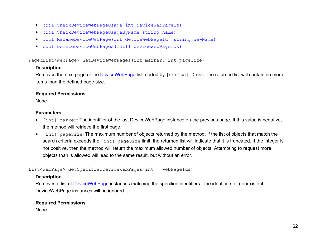- [bool CheckDeviceWebPageUsage\(int deviceWebPageId\)](#page-75-0)
- [bool CheckDeviceWebPageUsageByName\(string name\)](#page-75-1)
- [bool RenameDeviceWebPage\(int deviceWebPageId, string newName\)](#page-76-0)
- [bool DeleteDeviceWebPages\(int\[\] deviceWebPageIds\)](#page-76-1)

PagedList<WebPage> GetDeviceWebPages(int marker, int pageSize)

#### **Description**

Retrieves the next page of the [DeviceWebPage](#page-71-0) list, sorted by [string] Name. The returned list will contain no more items than the defined page size.

#### **Required Permissions**

None

#### **Parameters**

- [int] marker: The identifier of the last DeviceWebPage instance on the previous page. If this value is negative, the method will retrieve the first page.
- [int] pageSize: The maximum number of objects returned by the method. If the list of objects that match the search criteria exceeds the [int] pageSize limit, the returned list will indicate that it is truncated. If the integer is not positive, then the method will return the maximum allowed number of objects. Attempting to request more objects than is allowed will lead to the same result, but without an error.

List<WebPage> GetSpecifiedDeviceWebPages(int[] webPageIds)

#### **Description**

Retrieves a list of **DeviceWebPage** instances matching the specified identifiers. The identifiers of nonexistent DeviceWebPage instances will be ignored.

#### **Required Permissions**

None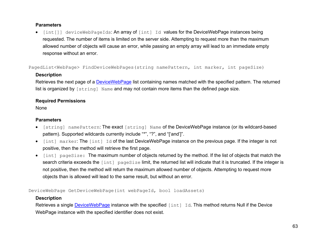#### **Parameters**

• [int[]] deviceWebPageIds: An array of [int] Id values for the DeviceWebPage instances being requested. The number of items is limited on the server side. Attempting to request more than the maximum allowed number of objects will cause an error, while passing an empty array will lead to an immediate empty response without an error.

PagedList<WebPage> FindDeviceWebPages(string namePattern, int marker, int pageSize)

#### **Description**

Retrieves the next page of a [DeviceWebPage](#page-71-0) list containing names matched with the specified pattern. The returned list is organized by [string] Name and may not contain more items than the defined page size.

## **Required Permissions**

None

## **Parameters**

- [string] namePattern: The exact [string] Name of the DeviceWebPage instance (or its wildcard-based pattern). Supported wildcards currently include "\*", "?", and "['and']".
- [int] marker: The [int] Id of the last DeviceWebPage instance on the previous page. If the integer is not positive, then the method will retrieve the first page.
- [int] pageSize: The maximum number of objects returned by the method. If the list of objects that match the search criteria exceeds the [int] pageSize limit, the returned list will indicate that it is truncated. If the integer is not positive, then the method will return the maximum allowed number of objects. Attempting to request more objects than is allowed will lead to the same result, but without an error.

DeviceWebPage GetDeviceWebPage(int webPageId, bool loadAssets)

## **Description**

Retrieves a single [DeviceWebPage](#page-71-0) instance with the specified [int] Id. This method returns Null if the Device WebPage instance with the specified identifier does not exist.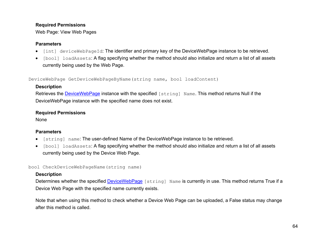Web Page: View Web Pages

#### **Parameters**

- [int] deviceWebPageId: The identifier and primary key of the DeviceWebPage instance to be retrieved.
- [bool] loadAssets: A flag specifying whether the method should also initialize and return a list of all assets currently being used by the Web Page.

DeviceWebPage GetDeviceWebPageByName(string name, bool loadContent)

# **Description**

Retrieves the [DeviceWebPage](#page-71-0) instance with the specified [string] Name. This method returns Null if the DeviceWebPage instance with the specified name does not exist.

## **Required Permissions**

None

## **Parameters**

- [string] name: The user-defined Name of the DeviceWebPage instance to be retrieved.
- [bool] loadAssets: A flag specifying whether the method should also initialize and return a list of all assets currently being used by the Device Web Page.

bool CheckDeviceWebPageName(string name)

# **Description**

Determines whether the specified [DeviceWebPage](#page-71-0) [string] Name is currently in use. This method returns True if a Device Web Page with the specified name currently exists.

Note that when using this method to check whether a Device Web Page can be uploaded, a False status may change after this method is called.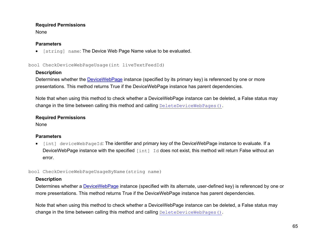None

## **Parameters**

• [string] name: The Device Web Page Name value to be evaluated.

<span id="page-75-0"></span>bool CheckDeviceWebPageUsage(int liveTextFeedId)

# **Description**

Determines whether the **DeviceWebPage** instance (specified by its primary key) is referenced by one or more presentations. This method returns True if the DeviceWebPage instance has parent dependencies.

Note that when using this method to check whether a DeviceWebPage instance can be deleted, a False status may change in the time between calling this method and calling [DeleteDeviceWebPages\(\)](#page-76-1).

## **Required Permissions**

None

# **Parameters**

• [int] deviceWebPageId: The identifier and primary key of the DeviceWebPage instance to evaluate. If a DeviceWebPage instance with the specified [int] Id does not exist, this method will return False without an error.

<span id="page-75-1"></span>bool CheckDeviceWebPageUsageByName(string name)

## **Description**

Determines whether a **DeviceWebPage** instance (specified with its alternate, user-defined key) is referenced by one or more presentations. This method returns True if the DeviceWebPage instance has parent dependencies.

Note that when using this method to check whether a DeviceWebPage instance can be deleted, a False status may change in the time between calling this method and calling [DeleteDeviceWebPages\(\)](#page-76-1).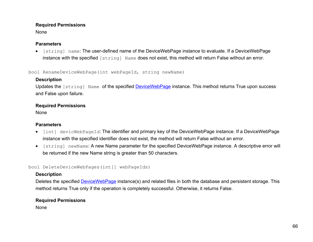None

#### **Parameters**

• [string] name: The user-defined name of the DeviceWebPage instance to evaluate. If a DeviceWebPage instance with the specified [string] Name does not exist, this method will return False without an error.

<span id="page-76-0"></span>bool RenameDeviceWebPage(int webPageId, string newName)

# **Description**

Updates the [string] Name of the specified [DeviceWebPage](#page-71-0) instance. This method returns True upon success and False upon failure.

# **Required Permissions**

None

# **Parameters**

- [int] devicWebPageId: The identifier and primary key of the DeviceWebPage instance. If a DeviceWebPage instance with the specified identifier does not exist, the method will return False without an error.
- [string] newName: A new Name parameter for the specified DeviceWebPage instance. A descriptive error will be returned if the new Name string is greater than 50 characters.

<span id="page-76-1"></span>bool DeleteDeviceWebPages(int[] webPageIds)

# **Description**

Deletes the specified **DeviceWebPage** instance(s) and related files in both the database and persistent storage. This method returns True only if the operation is completely successful. Otherwise, it returns False.

# **Required Permissions**

None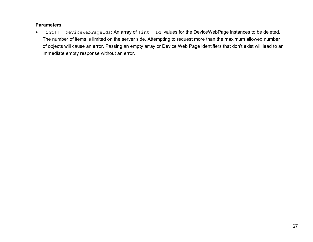#### **Parameters**

• [int[]] deviceWebPageIds: An array of [int] Id values for the DeviceWebPage instances to be deleted. The number of items is limited on the server side. Attempting to request more than the maximum allowed number of objects will cause an error. Passing an empty array or Device Web Page identifiers that don't exist will lead to an immediate empty response without an error.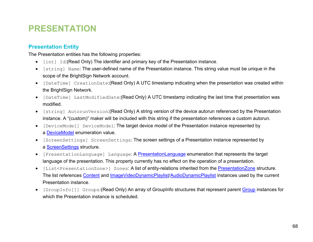# **PRESENTATION**

# <span id="page-78-0"></span>**Presentation Entity**

The Presentation entities has the following properties:

- [int] Id:(Read Only) The identifier and primary key of the Presentation instance.
- [string] Name: The user-defined name of the Presentation instance. This string value must be unique in the scope of the BrightSign Network account.
- [DateTime] CreationDate:(Read Only) A UTC timestamp indicating when the presentation was created within the BrightSign Network.
- [DateTime] LastModifiedDate:(Read Only) A UTC timestamp indicating the last time that presentation was modified.
- [string] AutorunVersion:(Read Only) A string version of the device autorun referenced by the Presentation instance. A "(custom)" maker will be included with this string if the presentation references a custom autorun.
- [DeviceModel] DeviceModel: The target device model of the Presentation instance represented by a [DeviceModel](#page-79-0) enumeration value.
- [ScreenSettings] ScreenSettings: The screen settings of a Presentation instance represented by a [ScreenSettings](#page-79-1) structure.
- [PresentationLanguage] Language: A [PresentationLanguage](#page-79-1) enumeration that represents the target language of the presentation. This property currently has no effect on the operation of a presentation.
- [List<PresentationZone>] Zones: A list of entity-relations inherited from the [PresentationZone](#page-82-0) structure. The list references [Content](#page-17-0) and [ImageVideoDynamicPlaylist/](#page-41-0)[AudioDynamicPlaylist](#page-41-1) instances used by the current Presentation instance.
- [GroupInfo[]] Groups:(Read Only) An array of GroupInfo structures that represent parent [Group](#page-95-0) instances for which the Presentation instance is scheduled.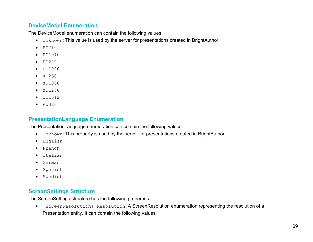# <span id="page-79-0"></span>**DeviceModel Enumeration**

The DeviceModel enumeration can contain the following values:

- Unknown: This value is used by the server for presentations created in BrightAuthor.
- $\bullet$  HD210
- HD1010
- $\bullet$  HD220
- HD1020
- XD230
- $\bullet$  XD1030
- XD1230
- TD1012
- AU320

# <span id="page-79-1"></span>**PresentationLanguage Enumeration**

The PresentationLanguage enumeration can contain the following values:

- Unknown: This property is used by the server for presentations created in BrightAuthor.
- English
- French
- Italian
- German
- Spanish
- Swedish

# **ScreenSettings Structure**

The ScreenSettings structure has the following properties:

• [ScreenResolution] Resolution: A ScreenResolution enumeration representing the resolution of a Presentation entity. It can contain the following values: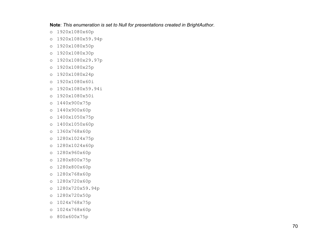**Note**: *This enumeration is set to Null for presentations created in BrightAuthor*.

- o 1920x1080x60p
- o 1920x1080x59.94p
- o 1920x1080x50p
- o 1920x1080x30p
- o 1920x1080x29.97p
- o 1920x1080x25p
- o 1920x1080x24p
- o 1920x1080x60i
- o 1920x1080x59.94i
- o 1920x1080x50i
- o 1440x900x75p
- o 1440x900x60p
- o 1400x1050x75p
- o 1400x1050x60p
- o 1360x768x60p
- o 1280x1024x75p
- o 1280x1024x60p
- o 1280x960x60p
- o 1280x800x75p
- o 1280x800x60p
- o 1280x768x60p
- o 1280x720x60p
- o 1280x720x59.94p
- o 1280x720x50p
- o 1024x768x75p
- o 1024x768x60p
- o 800x600x75p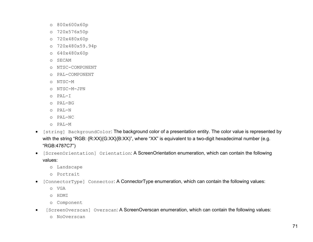- o 800x600x60p
- o 720x576x50p
- o 720x480x60p
- o 720x480x59.94p
- o 640x480x60p
- o SECAM
- o NTSC-COMPONENT
- o PAL-COMPONENT
- o NTSC-M
- o NTSC-M-JPN
- o PAL-I
- o PAL-BG
- o PAL-N
- o PAL-NC
- o PAL-M
- [string] BackgroundColor: The background color of a presentation entity. The color value is represented by with the string "RGB: {R:XX}{G:XX}{B:XX)", where "XX" is equivalent to a two-digit hexadecimal number (e.g. "RGB:4787C7")
- [ScreenOrientation] Orientation: A ScreenOrientation enumeration, which can contain the following values:
	- o Landscape
	- o Portrait
- <span id="page-81-0"></span>• [ConnectorType] Connector: A ConnectorType enumeration, which can contain the following values:
	- o VGA
	- o HDMI
	- o Component
- [ScreenOverscan] Overscan: A ScreenOverscan enumeration, which can contain the following values:
	- o NoOverscan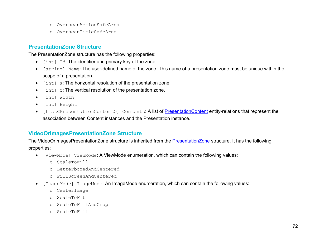- o OverscanActionSafeArea
- o OverscanTitleSafeArea

## <span id="page-82-0"></span>**PresentationZone Structure**

The PresentationZone structure has the following properties:

- [int] Id: The identifier and primary key of the zone.
- [string] Name: The user-defined name of the zone. This name of a presentation zone must be unique within the scope of a presentation.
- [int] X: The horizontal resolution of the presentation zone.
- [int] Y: The vertical resolution of the presentation zone.
- [int] Width
- [int] Height
- [List<PresentationContent>] Contents: A list of [PresentationContent](#page-19-0) entity-relations that represent the association between Content instances and the Presentation instance.

# <span id="page-82-1"></span>**VideoOrImagesPresentationZone Structure**

The VideoOrImagesPresentationZone structure is inherited from the **PresentationZone** structure. It has the following properties:

- [ViewMode] ViewMode: A ViewMode enumeration, which can contain the following values:
	- o ScaleToFill
	- o LetterboxedAndCentered
	- o FillScreenAndCentered
- [ImageMode] ImageMode: An ImageMode enumeration, which can contain the following values:
	- o CenterImage
	- o ScaleToFit
	- o ScaleToFillAndCrop
	- o ScaleToFill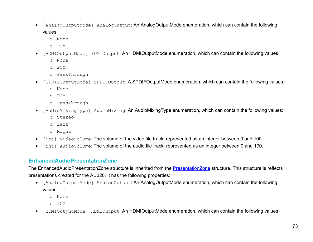- [AnalogOutputMode] AnalogOutput: An AnalogOutputMode enumeration, which can contain the following values:
	- o None
	- o PCM
- [HDMIOutputMode] HDMIOutput: An HDMIOutputMode enumeration, which can contain the following values:
	- o None
	- o PCM
	- o PassThrough
- [SPDIFOutputMode] SPDIFOutput: A SPDIFOutputMode enumeration, which can contain the following values:
	- o None
	- o PCM
	- o PassThrough
- [AudioMixingType] AudioMixing: An AudioMixingType enumeration, which can contain the following values:
	- o Stereo
	- o Left
	- o Right
- [int] VideoVolume: The volume of the video file track, represented as an integer between 0 and 100.
- [int] AudioVolume: The volume of the audio file track, represented as an integer between 0 and 100.

# **EnhancedAudioPresentationZone**

The EnhancedAudioPresentationZone structure is inherited from the [PresentationZone](#page-82-0) structure. This structure is reflects presentations created for the AU320. It has the following properties:

- [AnalogOutputMode] AnalogOutput: An AnalogOutputMode enumeration, which can contain the following values:
	- o None
	- o PCM
- [HDMIOutputMode] HDMIOutput: An HDMIOutputMode enumeration, which can contain the following values: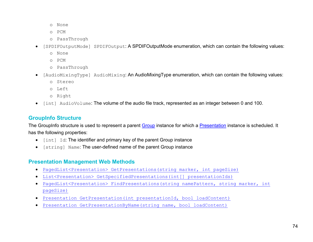- o None
- o PCM
- o PassThrough
- [SPDIFOutputMode] SPDIFOutput: A SPDIFOutputMode enumeration, which can contain the following values:
	- o None
	- o PCM
	- o PassThrough
- [AudioMixingType] AudioMixing: An AudioMixingType enumeration, which can contain the following values:
	- o Stereo
	- o Left
	- o Right
- [int] AudioVolume: The volume of the audio file track, represented as an integer between 0 and 100.

# **GroupInfo Structure**

The [Group](#page-95-0)Info structure is used to represent a parent Group instance for which a [Presentation](#page-78-0) instance is scheduled. It has the following properties:

- [int] Id: The identifier and primary key of the parent Group instance
- [string] Name: The user-defined name of the parent Group instance

# **Presentation Management Web Methods**

- [PagedList<Presentation> GetPresentations\(string](#page-85-0) marker, int pageSize)
- [List<Presentation> GetSpecifiedPresentations\(int\[\] presentationIds\)](#page-86-0)
- [PagedList<Presentation> FindPresentations\(string namePattern, string](#page-86-1) marker, int [pageSize\)](#page-86-1)
- [Presentation GetPresentation\(int presentationId, bool loadContent\)](#page-87-0)
- [Presentation GetPresentationByName\(string name, bool loadContent\)](#page-88-0)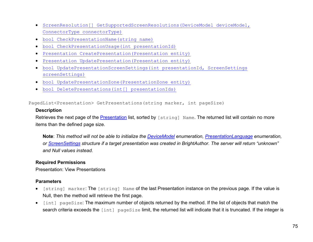- [ScreenResolution\[\] GetSupportedScreenResolutions\(DeviceModel deviceModel,](#page-88-1)  [ConnectorType connectorType\)](#page-88-1)
- [bool CheckPresentationName\(string name\)](#page-88-1)
- [bool CheckPresentationUsage\(int presentationId\)](#page-89-0)
- [Presentation CreatePresentation\(Presentation entity\)](#page-90-0)
- [Presentation UpdatePresentation\(Presentation entity\)](#page-91-0)
- [bool UpdatePresentationScreenSettings\(int presentationId, ScreenSettings](#page-92-0)  [screenSettings\)](#page-92-0)
- [bool UpdatePresentationZone\(PresentationZone entity\)](#page-93-0)
- [bool DeletePresentations\(int\[\] presentationIds\)](#page-94-0)

<span id="page-85-0"></span>PagedList<Presentation> GetPresentations(string marker, int pageSize)

#### **Description**

Retrieves the next page of the [Presentation](#page-78-0) list, sorted by [string] Name. The returned list will contain no more items than the defined page size.

**Note**: *This method will not be able to initialize the [DeviceModel](#page-79-0) enumeration, [PresentationLanguage](#page-79-1) enumeration, or [ScreenSettings](#page-79-1) structure if a target presentation was created in BrightAuthor. The server will return "unknown" and Null values instead.*

#### **Required Permissions**

Presentation: View Presentations

- [string] marker: The [string] Name of the last Presentation instance on the previous page. If the value is Null, then the method will retrieve the first page.
- [int] pageSize: The maximum number of objects returned by the method. If the list of objects that match the search criteria exceeds the [int] pageSize limit, the returned list will indicate that it is truncated. If the integer is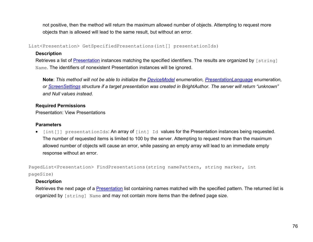not positive, then the method will return the maximum allowed number of objects. Attempting to request more objects than is allowed will lead to the same result, but without an error.

<span id="page-86-0"></span>List<Presentation> GetSpecifiedPresentations(int[] presentationIds)

#### **Description**

Retrieves a list of [Presentation](#page-78-0) instances matching the specified identifiers. The results are organized by [string] Name. The identifiers of nonexistent Presentation instances will be ignored.

**Note**: *This method will not be able to initialize the [DeviceModel](#page-79-0) enumeration, [PresentationLanguage](#page-79-1) enumeration, or [ScreenSettings](#page-79-1) structure if a target presentation was created in BrightAuthor. The server will return "unknown" and Null values instead.*

## **Required Permissions**

Presentation: View Presentations

#### **Parameters**

• [int[]] presentationIds: An array of [int] Id values for the Presentation instances being requested. The number of requested items is limited to 100 by the server. Attempting to request more than the maximum allowed number of objects will cause an error, while passing an empty array will lead to an immediate empty response without an error.

<span id="page-86-1"></span>PagedList<Presentation> FindPresentations (string namePattern, string marker, int pageSize)

## **Description**

Retrieves the next page of a [Presentation](#page-78-0) list containing names matched with the specified pattern. The returned list is organized by [string] Name and may not contain more items than the defined page size.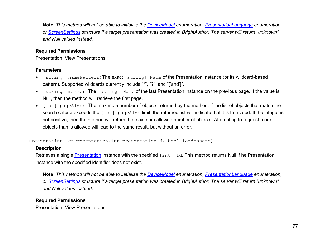**Note**: *This method will not be able to initialize the [DeviceModel](#page-79-0) enumeration, [PresentationLanguage](#page-79-1) enumeration, or [ScreenSettings](#page-79-1) structure if a target presentation was created in BrightAuthor. The server will return "unknown" and Null values instead.*

#### **Required Permissions**

Presentation: View Presentations

#### **Parameters**

- [string] namePattern: The exact [string] Name of the Presentation instance (or its wildcard-based pattern). Supported wildcards currently include "\*", "?", and "['and']".
- [string] marker: The [string] Name of the last Presentation instance on the previous page. If the value is Null, then the method will retrieve the first page.
- [int] pageSize: The maximum number of objects returned by the method. If the list of objects that match the search criteria exceeds the [int] pageSize limit, the returned list will indicate that it is truncated. If the integer is not positive, then the method will return the maximum allowed number of objects. Attempting to request more objects than is allowed will lead to the same result, but without an error.

#### <span id="page-87-0"></span>Presentation GetPresentation(int presentationId, bool loadAssets)

#### **Description**

Retrieves a single [Presentation](#page-78-0) instance with the specified [int] Id. This method returns Null if he Presentation instance with the specified identifier does not exist.

**Note**: *This method will not be able to initialize the [DeviceModel](#page-79-0) enumeration, [PresentationLanguage](#page-79-1) enumeration, or [ScreenSettings](#page-79-1) structure if a target presentation was created in BrightAuthor. The server will return "unknown" and Null values instead.*

#### **Required Permissions**

Presentation: View Presentations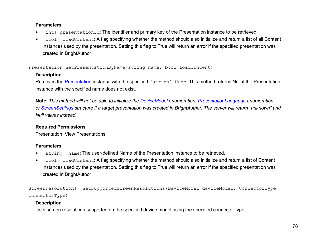#### **Parameters**

- [int] presentationId: The identifier and primary key of the Presentation instance to be retrieved.
- [bool] loadContent: A flag specifying whether the method should also initialize and return a list of all Content instances used by the presentation. Setting this flag to True will return an error if the specified presentation was created in BrightAuthor.

<span id="page-88-0"></span>Presentation GetPresentationByName(string name, bool loadContent)

## **Description**

Retrieves the [Presentation](#page-78-0) instance with the specified [string] Name. This method returns Null if the Presentation instance with the specified name does not exist.

**Note**: *This method will not be able to initialize the [DeviceModel](#page-79-0) enumeration, [PresentationLanguage](#page-79-1) enumeration, or [ScreenSettings](#page-79-1) structure if a target presentation was created in BrightAuthor. The server will return "unknown" and Null values instead.*

# **Required Permissions**

Presentation: View Presentations

## **Parameters**

- [string] name: The user-defined Name of the Presentation instance to be retrieved.
- [bool] loadContent: A flag specifying whether the method should also initialize and return a list of Content instances used by the presentation. Setting this flag to True will return an error if the specified presentation was created in BrightAuthor.

<span id="page-88-1"></span>ScreenResolution[] GetSupportedScreenResolutions(DeviceModel deviceModel, ConnectorType connectorType)

# **Description**

Lists screen resolutions supported on the specified device model using the specified connector type.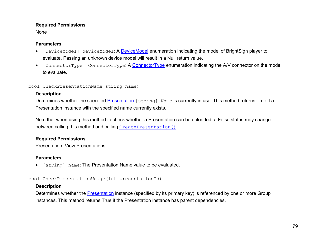None

#### **Parameters**

- [DeviceModel] deviceModel: A **DeviceModel enumeration indicating the model of BrightSign player to** evaluate. Passing an unknown device model will result in a Null return value.
- [ConnectorType] [ConnectorType](#page-81-0): A ConnectorType enumeration indicating the A/V connector on the model to evaluate.

#### bool CheckPresentationName(string name)

## **Description**

Determines whether the specified [Presentation](#page-78-0) [string] Name is currently in use. This method returns True if a Presentation instance with the specified name currently exists.

Note that when using this method to check whether a Presentation can be uploaded, a False status may change between calling this method and calling [CreatePresentation\(\)](#page-90-0).

## **Required Permissions**

Presentation: View Presentations

# **Parameters**

• [string] name: The Presentation Name value to be evaluated.

<span id="page-89-0"></span>bool CheckPresentationUsage(int presentationId)

## **Description**

Determines whether the **Presentation** instance (specified by its primary key) is referenced by one or more Group instances. This method returns True if the Presentation instance has parent dependencies.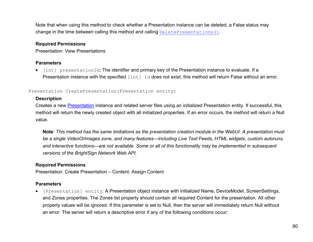Note that when using this method to check whether a Presentation instance can be deleted, a False status may change in the time between calling this method and calling [DeletePresentations\(\)](#page-94-0).

#### **Required Permissions**

Presentation: View Presentations

#### **Parameters**

• [int] presentationId: The identifier and primary key of the Presentation instance to evaluate. If a Presentation instance with the specified [int] Id does not exist, this method will return False without an error.

#### <span id="page-90-0"></span>Presentation CreatePresentation(Presentation entity)

## **Description**

Creates a new [Presentation](#page-78-0) instance and related server files using an initialized Presentation entity. If successful, this method will return the newly created object with all initialized properties. If an error occurs, the method will return a Null value.

**Note**: *This method has the same limitations as the presentation creation module in the WebUI: A presentation must be a single VideoOrImages zone, and many features—including Live Text Feeds, HTML widgets, custom autoruns, and interactive functions—are not available. Some or all of this functionality may be implemented in subsequent versions of the BrightSign Network Web API.*

# **Required Permissions**

Presentation: Create Presentation – Content: Assign Content

## **Parameters**

• [Presentation] entity: A Presentation object instance with initialized Name, DeviceModel, ScreenSettings, and Zones properties. The Zones list property should contain all required Content for the presentation. All other property values will be ignored. If this parameter is set to Null, then the server will immediately return Null without an error. The server will return a descriptive error if any of the following conditions occur: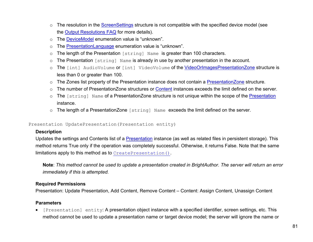- o The resolution in the [ScreenSettings](#page-79-1) structure is not compatible with the specified device model (see the [Output Resolutions FAQ](http://support.brightsign.biz/entries/275113-What-video-output-resolutions-are-supported-by-BrightSign-players-) for more details).
- o The [DeviceModel](#page-79-0) enumeration value is "unknown".
- o The [PresentationLanguage](#page-79-1) enumeration value is "unknown".
- o The length of the Presentation [string] Name is greater than 100 characters.
- o The Presentation [string] Name is already in use by another presentation in the account.
- o The [int] AudioVolume or [int] VideoVolume of the [VideoOrImagesPresentationZone](#page-82-1) structure is less than 0 or greater than 100.
- o The Zones list property of the Presentation instance does not contain a Presentation Zone structure.
- The number of PresentationZone structures or [Content](#page-17-0) instances exceeds the limit defined on the server.
- o The [string] Name of a PresentationZone structure is not unique within the scope of the [Presentation](#page-78-0) instance.
- o The length of a PresentationZone [string] Name exceeds the limit defined on the server.

<span id="page-91-0"></span>Presentation UpdatePresentation(Presentation entity)

#### **Description**

Updates the settings and Contents list of a [Presentation](#page-78-0) instance (as well as related files in persistent storage). This method returns True only if the operation was completely successful. Otherwise, it returns False. Note that the same limitations apply to this method as to [CreatePresentation\(\)](#page-90-0).

**Note**: *This method cannot be used to update a presentation created in BrightAuthor. The server will return an error immediately if this is attempted.*

#### **Required Permissions**

Presentation: Update Presentation, Add Content, Remove Content – Content: Assign Content, Unassign Content

## **Parameters**

• [Presentation] entity: A presentation object instance with a specified identifier, screen settings, etc. This method cannot be used to update a presentation name or target device model; the server will ignore the name or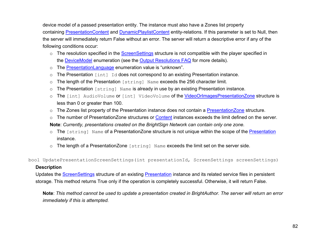device model of a passed presentation entity. The instance must also have a Zones list property containing [PresentationContent](#page-19-0) and [DynamicPlaylistContent](#page-19-1) entity-relations. If this parameter is set to Null, then the server will immediately return False without an error. The server will return a descriptive error if any of the following conditions occur:

- $\circ$  The resolution specified in the [ScreenSettings](#page-79-1) structure is not compatible with the player specified in the **DeviceModel** enumeration (see the **Output Resolutions FAQ** for more details).
- o The [PresentationLanguage](#page-79-1) enumeration value is "unknown".
- o The Presentation [int] Id does not correspond to an existing Presentation instance.
- o The length of the Presentation [string] Name exceeds the 256 character limit.
- o The Presentation [string] Name is already in use by an existing Presentation instance.
- o The [int] AudioVolume or [int] VideoVolume of the [VideoOrImagesPresentationZone](#page-82-1) structure is less than 0 or greater than 100.
- o The Zones list property of the Presentation instance does not contain a Presentation Zone structure.
- o The number of Presentation Zone structures or [Content](#page-17-0) instances exceeds the limit defined on the server.
- **Note**: *Currently, presentations created on the BrightSign Network can contain only one zone.*
- o The [string] Name of a PresentationZone structure is not unique within the scope of the [Presentation](#page-78-0) instance.
- o The length of a PresentationZone [string] Name exceeds the limit set on the server side.

<span id="page-92-0"></span>bool UpdatePresentationScreenSettings(int presentationId, ScreenSettings screenSettings)

#### **Description**

Updates the **ScreenSettings** structure of an existing **Presentation** instance and its related service files in persistent storage. This method returns True only if the operation is completely successful. Otherwise, it will return False.

**Note**: *This method cannot be used to update a presentation created in BrightAuthor. The server will return an error immediately if this is attempted.*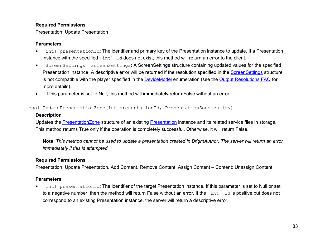#### Presentation: Update Presentation

#### **Parameters**

- [int] presentationId: The identifier and primary key of the Presentation instance to update. If a Presentation instance with the specified [int] Id does not exist, this method will return an error to the client.
- [ScreenSettings] screenSettings: A ScreenSettings structure containing updated values for the specified Presentation instance. A descriptive error will be returned if the resolution specified in the **ScreenSettings** structure is not compatible with the player specified in the **DeviceModel** enumeration (see the **Output Resolutions FAQ** for more details).
- . If this parameter is set to Null, this method will immediately return False without an error.

<span id="page-93-0"></span>bool UpdatePresentationZone(int presentationId, PresentationZone entity)

#### **Description**

Updates the **PresentationZone** structure of an existing **Presentation** instance and its related service files in storage. This method returns True only if the operation is completely successful. Otherwise, it will return False.

**Note**: *This method cannot be used to update a presentation created in BrightAuthor. The server will return an error immediately if this is attempted.*

## **Required Permissions**

Presentation: Update Presentation, Add Content, Remove Content, Assign Content – Content: Unassign Content

## **Parameters**

• [int] presentationId: The identifier of the target Presentation instance. If this parameter is set to Null or set to a negative number, then the method will return False without an error. If the  $\lceil \text{int} \rceil$  Id is positive but does not correspond to an existing Presentation instance, the server will return a descriptive error.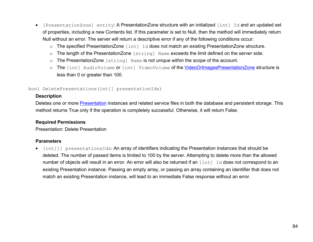- [PresentationZone] entity: A PresentationZone structure with an initialized [int] Id and an updated set of properties, including a new Contents list. If this parameter is set to Null, then the method will immediately return Null without an error. The server will return a descriptive error if any of the following conditions occur:
	- o The specified PresentationZone [int] Id does not match an existing PresentationZone structure.
	- o The length of the PresentationZone [string] Name exceeds the limit defined on the server side.
	- o The PresentationZone [string] Name is not unique within the scope of the account.
	- o The [int] AudioVolume or [int] VideoVolume of the [VideoOrImagesPresentationZone](#page-82-1) structure is less than 0 or greater than 100.

#### <span id="page-94-0"></span>bool DeletePresentations(int[] presentationIds)

#### **Description**

Deletes one or more **Presentation** instances and related service files in both the database and persistent storage. This method returns True only if the operation is completely successful. Otherwise, it will return False.

#### **Required Permissions**

Presentation: Delete Presentation

#### **Parameters**

• [int[]] presentationsIds: An array of identifiers indicating the Presentation instances that should be deleted. The number of passed items is limited to 100 by the server. Attempting to delete more than the allowed number of objects will result in an error. An error will also be returned if an [int] Id does not correspond to an existing Presentation instance. Passing an empty array, or passing an array containing an identifier that does not match an existing Presentation instance, will lead to an immediate False response without an error.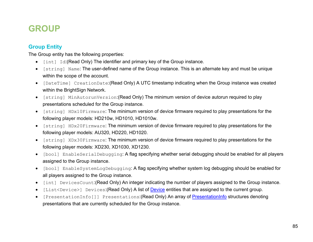# **GROUP**

# <span id="page-95-0"></span>**Group Entity**

The Group entity has the following properties:

- [int] Id:(Read Only) The identifier and primary key of the Group instance.
- [string] Name: The user-defined name of the Group instance. This is an alternate key and must be unique within the scope of the account.
- [DateTime] CreationDate:(Read Only) A UTC timestamp indicating when the Group instance was created within the BrightSign Network.
- [string] MinAutorunVersion:(Read Only) The minimum version of device autorun required to play presentations scheduled for the Group instance.
- [string] HDx10Firmware: The minimum version of device firmware required to play presentations for the following player models: HD210w, HD1010, HD1010w.
- [string] HDx20Firmware: The minimum version of device firmware required to play presentations for the following player models: AU320, HD220, HD1020.
- [string] XDx30Firmware: The minimum version of device firmware required to play presentations for the following player models: XD230, XD1030, XD1230.
- [bool] EnableSerialDebugging: A flag specifying whether serial debugging should be enabled for all players assigned to the Group instance.
- [bool] EnableSystemLogDebugging: A flag specifying whether system log debugging should be enabled for all players assigned to the Group instance.
- [int] DevicesCount:(Read Only) An integer indicating the number of players assigned to the Group instance.
- [List<Device>] [Device](#page-108-0)s: (Read Only) A list of Device entities that are assigned to the current group.
- [PresentationInfo[]] Presentations: (Read Only) An array of [PresentationInfo](#page-21-0) structures denoting presentations that are currently scheduled for the Group instance.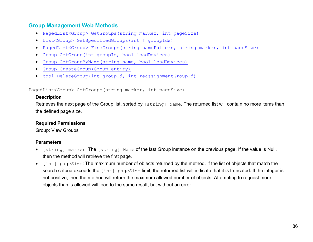# **Group Management Web Methods**

- [PagedList<Group> GetGroups\(string](#page-96-0) marker, int pageSize)
- [List<Group> GetSpecifiedGroups\(int\[\] groupIds\)](#page-97-0)
- PagedList<Group> FindGroups (string namePattern, string marker, int pageSize)
- [Group GetGroup\(int groupId, bool loadDevices\)](#page-98-0)
- [Group GetGroupByName\(string name, bool loadDevices\)](#page-98-1)
- [Group CreateGroup\(Group entity\)](#page-99-0)
- [bool DeleteGroup\(int groupId, int reassignmentGroupId\)](#page-99-1)

<span id="page-96-0"></span>PagedList<Group> GetGroups(string marker, int pageSize)

#### **Description**

Retrieves the next page of the Group list, sorted by [string] Name. The returned list will contain no more items than the defined page size.

#### **Required Permissions**

Group: View Groups

- [string] marker: The [string] Name of the last Group instance on the previous page. If the value is Null, then the method will retrieve the first page.
- [int] pageSize: The maximum number of objects returned by the method. If the list of objects that match the search criteria exceeds the [int] pageSize limit, the returned list will indicate that it is truncated. If the integer is not positive, then the method will return the maximum allowed number of objects. Attempting to request more objects than is allowed will lead to the same result, but without an error.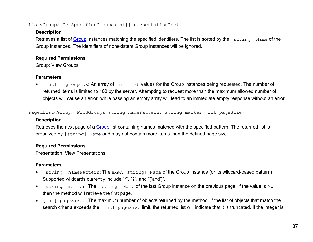#### <span id="page-97-0"></span>List<Group> GetSpecifiedGroups(int[] presentationIds)

## **Description**

Retrieves a list of [Group](#page-95-0) instances matching the specified identifiers. The list is sorted by the [string] Name of the Group instances. The identifiers of nonexistent Group instances will be ignored.

## **Required Permissions**

Group: View Groups

# **Parameters**

• [int[]] groupIds: An array of [int] Id values for the Group instances being requested. The number of returned items is limited to 100 by the server. Attempting to request more than the maximum allowed number of objects will cause an error, while passing an empty array will lead to an immediate empty response without an error.

<span id="page-97-1"></span>PagedList<Group> FindGroups(string namePattern, string marker, int pageSize)

# **Description**

Retrieves the next page of a [Group](#page-95-0) list containing names matched with the specified pattern. The returned list is organized by [string] Name and may not contain more items than the defined page size.

# **Required Permissions**

Presentation: View Presentations

- [string] namePattern: The exact [string] Name of the Group instance (or its wildcard-based pattern). Supported wildcards currently include "\*", "?", and "['and']".
- [string] marker: The [string] Name of the last Group instance on the previous page. If the value is Null, then the method will retrieve the first page.
- [int] pageSize: The maximum number of objects returned by the method. If the list of objects that match the search criteria exceeds the [int] pageSize limit, the returned list will indicate that it is truncated. If the integer is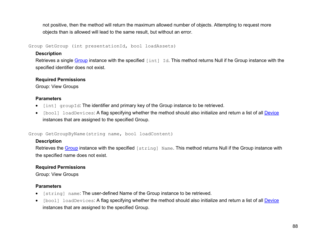not positive, then the method will return the maximum allowed number of objects. Attempting to request more objects than is allowed will lead to the same result, but without an error.

<span id="page-98-0"></span>Group GetGroup (int presentationId, bool loadAssets)

## **Description**

Retrieves a single [Group](#page-95-0) instance with the specified [int] Id. This method returns Null if he Group instance with the specified identifier does not exist.

## **Required Permissions**

Group: View Groups

## **Parameters**

- [int] groupId: The identifier and primary key of the Group instance to be retrieved.
- [bool] loadDevices: A flag specifying whether the method should also initialize and return a list of all [Device](#page-108-0) instances that are assigned to the specified Group.

<span id="page-98-1"></span>Group GetGroupByName(string name, bool loadContent)

# **Description**

Retrieves the [Group](#page-95-0) instance with the specified [string] Name. This method returns Null if the Group instance with the specified name does not exist.

# **Required Permissions**

Group: View Groups

- [string] name: The user-defined Name of the Group instance to be retrieved.
- [bool] loadDevices: A flag specifying whether the method should also initialize and return a list of all [Device](#page-108-0) instances that are assigned to the specified Group.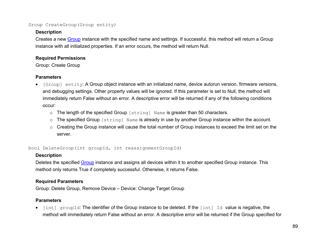#### <span id="page-99-0"></span>Group CreateGroup(Group entity)

#### **Description**

Creates a new [Group](#page-95-0) instance with the specified name and settings. If successful, this method will return a Group instance with all initialized properties. If an error occurs, the method will return Null.

#### **Required Permissions**

Group: Create Group

## **Parameters**

- [Group] entity: A Group object instance with an initialized name, device autorun version, firmware versions, and debugging settings. Other property values will be ignored. If this parameter is set to Null, the method will immediately return False without an error. A descriptive error will be returned if any of the following conditions occur:
	- o The length of the specified Group [string] Name is greater than 50 characters.
	- o The specified Group [string] Name is already in use by another Group instance within the account.
	- o Creating the Group instance will cause the total number of Group instances to exceed the limit set on the server.

<span id="page-99-1"></span>bool DeleteGroup(int groupId, int reassignmentGroupId)

## **Description**

Deletes the specified [Group](#page-95-0) instance and assigns all devices within it to another specified Group instance. This method only returns True if completely successful. Otherwise, it returns False.

## **Required Parameters**

Group: Delete Group, Remove Device – Device: Change Target Group

# **Parameters**

 $\bullet$  [int] groupId: The identifier of the Group instance to be deleted. If the [int] Id value is negative, the method will immediately return False without an error. A descriptive error will be returned if the Group specified for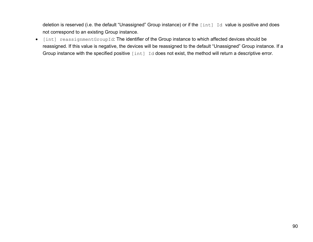deletion is reserved (i.e. the default "Unassigned" Group instance) or if the [int] Id value is positive and does not correspond to an existing Group instance.

• [int] reassignmentGroupId: The identifier of the Group instance to which affected devices should be reassigned. If this value is negative, the devices will be reassigned to the default "Unassigned" Group instance. If a Group instance with the specified positive [int] Id does not exist, the method will return a descriptive error.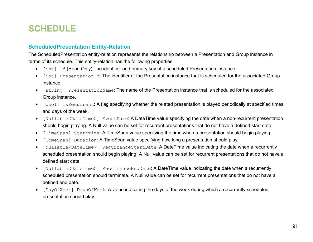# **SCHEDULE**

# <span id="page-101-0"></span>**ScheduledPresentation Entity-Relation**

The ScheduledPresentation entity-relation represents the relationship between a Presentation and Group instance in terms of its schedule. This entity-relation has the following properties.

- [int] Id:(Read Only) The identifier and primary key of a scheduled Presentation instance.
- [int] PresentationId: The identifier of the Presentation instance that is scheduled for the associated Group instance.
- [string] PresentationName: The name of the Presentation instance that is scheduled for the associated Group instance.
- [bool] IsRecurrent: A flag specifying whether the related presentation is played periodically at specified times and days of the week.
- [Nullable<DateTime>] EventDate: A DateTime value specifying the date when a non-recurrent presentation should begin playing. A Null value can be set for recurrent presentations that do not have a defined start date.
- [TimeSpan] StartTime: A TimeSpan value specifying the time when a presentation should begin playing.
- [TimeSpan] Duration: A TimeSpan value specifying how long a presentation should play.
- [Nullable<DateTime>] RecurrenceStartDate: A DateTime value indicating the date when a recurrently scheduled presentation should begin playing. A Null value can be set for recurrent presentations that do not have a defined start date.
- [Nullable<DateTime>] RecurrenceEndDate: A DateTime value indicating the date when a recurrently scheduled presentation should terminate. A Null value can be set for recurrent presentations that do not have a defined end date.
- [DayOfWeek] DaysOfWeek: A value indicating the days of the week during which a recurrently scheduled presentation should play.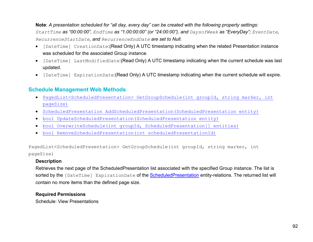**Note**: *A presentation scheduled for "all day, every day" can be created with the following property settings: StartTime as "00:00:00", EndTime as "1.00:00:00" (or "24:00:00"), and DaysofWeek as "EveryDay"; EventDate, RecurrenceStartDate, and RecurrenceEndDate are set to Null.*

- [DateTime] CreationDate:(Read Only) A UTC timestamp indicating when the related Presentation instance was scheduled for the associated Group instance.
- [DateTime] LastModifiedDate:(Read Only) A UTC timestamp indicating when the current schedule was last updated.
- [DateTime] ExpirationDate:(Read Only) A UTC timestamp indicating when the current schedule will expire.

# **Schedule Management Web Methods**

- [PagedList<ScheduledPresentation> GetGroupSchedule\(int groupId, string](#page-102-0) marker, int [pageSize\)](#page-102-0)
- [ScheduledPresentation AddScheduledPresentation\(ScheduledPresentation entity\)](#page-103-0)
- [bool UpdateScheduledPresentation\(ScheduledPresentation entity\)](#page-103-0)
- [bool OverwriteSchedule\(int groupId, ScheduledPresentation\[\] entities\)](#page-105-0)
- [bool RemoveScheduledPresentation\(int scheduledPresentationId\)](#page-106-0)

<span id="page-102-0"></span>PagedList<ScheduledPresentation> GetGroupSchedule(int groupId, string marker, int pageSize)

#### **Description**

Retrieves the next page of the ScheduledPresentation list associated with the specified Group instance. The list is sorted by the [DateTime] ExpirationDate of the [ScheduledPresentation](#page-101-0) entity-relations. The returned list will contain no more items than the defined page size.

#### **Required Permissions**

Schedule: View Presentations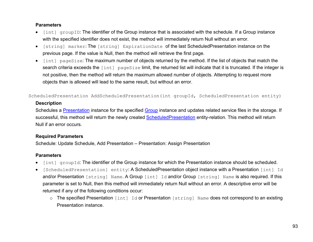#### **Parameters**

- [int] groupID: The identifier of the Group instance that is associated with the schedule. If a Group instance with the specified identifier does not exist, the method will immediately return Null without an error.
- [string] marker: The [string] ExpirationDate of the last ScheduledPresentation instance on the previous page. If the value is Null, then the method will retrieve the first page.
- [int] pageSize: The maximum number of objects returned by the method. If the list of objects that match the search criteria exceeds the [int] pageSize limit, the returned list will indicate that it is truncated. If the integer is not positive, then the method will return the maximum allowed number of objects. Attempting to request more objects than is allowed will lead to the same result, but without an error.

<span id="page-103-0"></span>ScheduledPresentation AddScheduledPresentation(int groupId, ScheduledPresentation entity)

#### **Description**

Schedules a **[Presentation](#page-78-0)** instance for the specified [Group](#page-95-0) instance and updates related service files in the storage. If successful, this method will return the newly created [ScheduledPresentation](#page-101-0) entity-relation. This method will return Null if an error occurs.

#### **Required Parameters**

Schedule: Update Schedule, Add Presentation – Presentation: Assign Presentation

- [int] groupId: The identifier of the Group instance for which the Presentation instance should be scheduled.
- [ScheduledPresentation] entity: A ScheduledPresentation object instance with a Presentation [int] Id and/or Presentation [string] Name. A Group [int] Id and/or Group [string] Name is also required. If this parameter is set to Null, then this method will immediately return Null without an error. A descriptive error will be returned if any of the following conditions occur:
	- o The specified Presentation [int] Id or Presentation [string] Name does not correspond to an existing Presentation instance.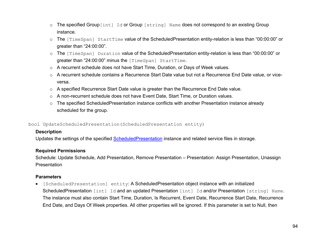- o The specified Group [int] Id or Group [string] Name does not correspond to an existing Group instance.
- $\circ$  The [TimeSpan] StartTime value of the ScheduledPresentation entity-relation is less than "00:00:00" or greater than "24:00:00".
- o The [TimeSpan] Duration value of the ScheduledPresentation entity-relation is less than "00:00:00" or greater than "24:00:00" minus the [TimeSpan] StartTime.
- o A recurrent schedule does not have Start Time, Duration, or Days of Week values.
- o A recurrent schedule contains a Recurrence Start Date value but not a Recurrence End Date value, or viceversa.
- o A specified Recurrence Start Date value is greater than the Recurrence End Date value.
- o A non-recurrent schedule does not have Event Date, Start Time, or Duration values.
- o The specified ScheduledPresentation instance conflicts with another Presentation instance already scheduled for the group.

bool UpdateScheduledPresentation(ScheduledPresentation entity)

## **Description**

Updates the settings of the specified **ScheduledPresentation** instance and related service files in storage.

## **Required Permissions**

Schedule: Update Schedule, Add Presentation, Remove Presentation – Presentation: Assign Presentation, Unassign Presentation

# **Parameters**

• [ScheduledPresentation] entity: A ScheduledPresentation object instance with an initialized ScheduledPresentation [int] Id and an updated Presentation [int] Id and/or Presentation [string] Name. The instance must also contain Start Time, Duration, Is Recurrent, Event Date, Recurrence Start Date, Recurrence End Date, and Days Of Week properties. All other properties will be ignored. If this parameter is set to Null, then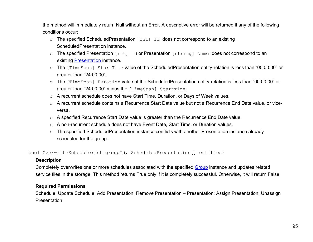the method will immediately return Null without an Error. A descriptive error will be returned if any of the following conditions occur:

- o The specified ScheduledPresentation [int] Id does not correspond to an existing ScheduledPresentation instance.
- o The specified Presentation [int] Id or Presentation [string] Name does not correspond to an existing [Presentation](#page-78-0) instance.
- o The [TimeSpan] StartTime value of the ScheduledPresentation entity-relation is less than "00:00:00" or greater than "24:00:00".
- o The [TimeSpan] Duration value of the ScheduledPresentation entity-relation is less than "00:00:00" or greater than "24:00:00" minus the [TimeSpan] StartTime.
- o A recurrent schedule does not have Start Time, Duration, or Days of Week values.
- $\circ$  A recurrent schedule contains a Recurrence Start Date value but not a Recurrence End Date value, or viceversa.
- o A specified Recurrence Start Date value is greater than the Recurrence End Date value.
- o A non-recurrent schedule does not have Event Date, Start Time, or Duration values.
- o The specified ScheduledPresentation instance conflicts with another Presentation instance already scheduled for the group.

<span id="page-105-0"></span>bool OverwriteSchedule(int groupId, ScheduledPresentation[] entities)

#### **Description**

Completely overwrites one or more schedules associated with the specified [Group](#page-95-0) instance and updates related service files in the storage. This method returns True only if it is completely successful. Otherwise, it will return False.

# **Required Permissions**

Schedule: Update Schedule, Add Presentation, Remove Presentation – Presentation: Assign Presentation, Unassign **Presentation**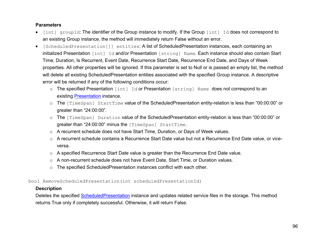#### **Parameters**

- [int] groupId: The identifier of the Group instance to modify. If the Group [int] Id does not correspond to an existing Group instance, the method will immediately return False without an error.
- [ScheduledPresentation[]] entities: A list of ScheduledPresentation instances, each containing an initialized Presentation [int] Id and/or Presentation [string] Name. Each instance should also contain Start Time, Duration, Is Recurrent, Event Date, Recurrence Start Date, Recurrence End Date, and Days of Week properties. All other properties will be ignored. If this parameter is set to Null or is passed an empty list, the method will delete all existing ScheduledPresentation entities associated with the specified Group instance. A descriptive error will be returned if any of the following conditions occur:
	- o The specified Presentation [int] Id or Presentation [string] Name does not correspond to an existing [Presentation](#page-78-0) instance.
	- o The [TimeSpan] StartTime value of the ScheduledPresentation entity-relation is less than "00:00:00" or greater than "24:00:00".
	- o The [TimeSpan] Duration value of the ScheduledPresentation entity-relation is less than "00:00:00" or greater than "24:00:00" minus the [TimeSpan] StartTime.
	- o A recurrent schedule does not have Start Time, Duration, or Days of Week values.
	- o A recurrent schedule contains a Recurrence Start Date value but not a Recurrence End Date value, or viceversa.
	- o A specified Recurrence Start Date value is greater than the Recurrence End Date value.
	- o A non-recurrent schedule does not have Event Date, Start Time, or Duration values.
	- o The specified ScheduledPresentation instances conflict with each other.

<span id="page-106-0"></span>bool RemoveScheduledPresentation(int scheduledPresentationId)

#### **Description**

Deletes the specified [ScheduledPresentation](#page-101-0) instance and updates related service files in the storage. This method returns True only if completely successful. Otherwise, it will return False.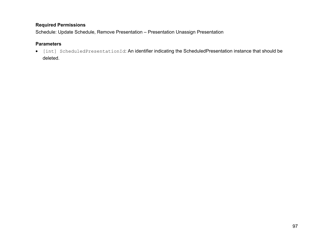Schedule: Update Schedule, Remove Presentation – Presentation Unassign Presentation

## **Parameters**

• [int] ScheduledPresentationId: An identifier indicating the ScheduledPresentation instance that should be deleted.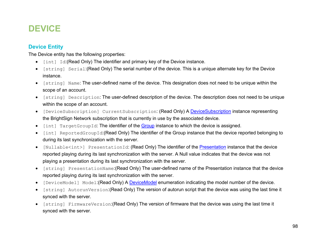# **DEVICE**

# <span id="page-108-0"></span>**Device Entity**

The Device entity has the following properties:

- [int] Id:(Read Only) The identifier and primary key of the Device instance.
- [string] Serial:(Read Only) The serial number of the device. This is a unique alternate key for the Device instance.
- [string] Name: The user-defined name of the device. This designation does not need to be unique within the scope of an account.
- [string] Description: The user-defined description of the device. The description does not need to be unique within the scope of an account.
- [DeviceSubscription] CurrentSubscription: (Read Only) A [DeviceSubscription](#page-110-0) instance representing the BrightSign Network subscription that is currently in use by the associated device.
- [int] TargetGroupId: The identifier of the [Group](#page-95-0) instance to which the device is assigned.
- [int] ReportedGroupId:(Read Only) The identifier of the Group instance that the device reported belonging to during its last synchronization with the server.
- [Nullable<int>] [Presentation](#page-78-0)Id: (Read Only) The identifier of the Presentation instance that the device reported playing during its last synchronization with the server. A Null value indicates that the device was not playing a presentation during its last synchronization with the server.
- [string] PresentationName:(Read Only) The user-defined name of the Presentation instance that the device reported playing during its last synchronization with the server.
- [DeviceModel] Model:(Read Only) A **DeviceModel** enumeration indicating the model number of the device.
- [string] AutorunVersion:(Read Only) The version of autorun script that the device was using the last time it synced with the server.
- [string] FirmwareVersion:(Read Only) The version of firmware that the device was using the last time it synced with the server.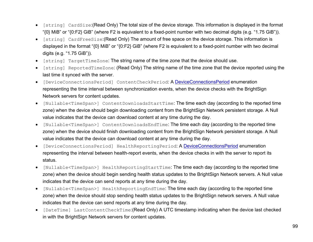- [string] CardSize:(Read Only) The total size of the device storage. This information is displayed in the format "{0} MiB" or "{0:F2} GiB" (where F2 is equivalent to a fixed-point number with two decimal digits (e.g. "1.75 GiB")).
- [string] CardFreeSize:(Read Only) The amount of free space on the device storage. This information is displayed in the format "{0} MiB" or "{0:F2} GiB" (where F2 is equivalent to a fixed-point number with two decimal digits (e.g. "1.75 GiB")).
- [string] TargetTimeZone: The string name of the time zone that the device should use.
- [string] ReportedTimeZone: (Read Only) The string name of the time zone that the device reported using the last time it synced with the server.
- [DeviceConnectionsPeriod] ContentCheckPeriod: A [DeviceConnectionsPeriod](#page-113-0) enumeration representing the time interval between synchronization events, when the device checks with the BrightSign Network servers for content updates.
- [Nullable<TimeSpan>] ContentDownloadsStartTime: The time each day (according to the reported time zone) when the device should begin downloading content from the BrightSign Network persistent storage. A Null value indicates that the device can download content at any time during the day.
- [Nullable<TimeSpan>] ContentDownloadsEndTime: The time each day (according to the reported time zone) when the device should finish downloading content from the BrightSign Network persistent storage. A Null value indicates that the device can download content at any time during the day.
- [DeviceConnectionsPeriod] HealthReportingPeriod: A [DeviceConnectionsPeriod](#page-113-0) enumeration representing the interval between health-report events, when the device checks in with the server to report its status.
- [Nullable<TimeSpan>] HealthReportingStartTime: The time each day (according to the reported time zone) when the device should begin sending health status updates to the BrightSign Network servers. A Null value indicates that the device can send reports at any time during the day.
- [Nullable<TimeSpan>] HealthReportingEndTime: The time each day (according to the reported time zone) when the device should stop sending health status updates to the BrightSign network servers. A Null value indicates that the device can send reports at any time during the day.
- [DateTime] LastContentCheckTime:(Read Only) A UTC timestamp indicating when the device last checked in with the BrightSign Network servers for content updates.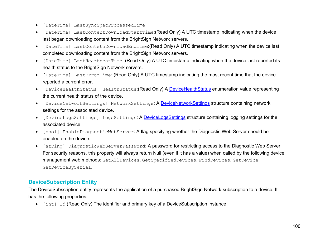- [DateTime] LastSyncSpecProcessedTime
- [DateTime] LastContentDownloadStartTime:(Read Only) A UTC timestamp indicating when the device last began downloading content from the BrightSign Network servers.
- [DateTime] LastContetnDownloadEndTime:(Read Only) A UTC timestamp indicating when the device last completed downloading content from the BrightSign Network servers.
- [DateTime] LastHeartbeatTime: (Read Only) A UTC timestamp indicating when the device last reported its health status to the BrightSign Network servers.
- [DateTime] LastErrorTime: (Read Only) A UTC timestamp indicating the most recent time that the device reported a current error.
- [DeviceHealthStatus] HealthStatus: (Read Only) A [DeviceHealthStatus](#page-115-0) enumeration value representing the current health status of the device.
- [DeviceNetworkSettings] NetworkSettings: A [DeviceNetworkSettings](#page-113-1) structure containing network settings for the associated device.
- [DeviceLogsSettings] LogsSettings: A [DeviceLogsSettings](#page-115-1) structure containing logging settings for the associated device.
- [bool] EnableDiagnosticWebServer: A flag specifying whether the Diagnostic Web Server should be enabled on the device.
- [string] DiagnosticWebServerPassword: A password for restricting access to the Diagnostic Web Server. For security reasons, this property will always return Null (even if it has a value) when called by the following device management web methods: GetAllDevices, GetSpecifiedDevices, FindDevices, GetDevice, GetDeviceBySerial.

# <span id="page-110-0"></span>**DeviceSubscription Entity**

The DeviceSubscription entity represents the application of a purchased BrightSign Network subscription to a device. It has the following properties:

• [int] Id:(Read Only) The identifier and primary key of a DeviceSubscription instance.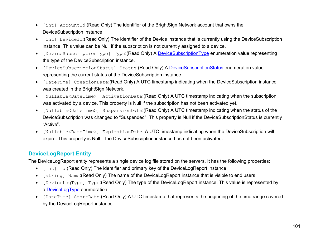- [int] AccountId:(Read Only) The identifier of the BrightSign Network account that owns the DeviceSubscription instance.
- [int] DeviceId:(Read Only) The identifier of the Device instance that is currently using the DeviceSubscription instance. This value can be Null if the subscription is not currently assigned to a device.
- [DeviceSubscriptionType] Type:(Read Only) A [DeviceSubscriptionType](#page-111-0) enumeration value representing the type of the DeviceSubscription instance.
- [DeviceSubscriptionStatus] Status: (Read Only) A [DeviceSubscriptionStatus](#page-112-0) enumeration value representing the current status of the DeviceSubscription instance.
- [DateTime] CreationDate:(Read Only) A UTC timestamp indicating when the DeviceSubscription instance was created in the BrightSign Network.
- [Nullable<DateTime>] ActivationDate:(Read Only) A UTC timestamp indicating when the subscription was activated by a device. This property is Null if the subscription has not been activated yet.
- [Nullable<DateTime>] SuspensionDate:(Read Only) A UTC timestamp indicating when the status of the DeviceSubscription was changed to "Suspended". This property is Null if the DeviceSubscriptionStatus is currently "Active".
- [Nullable<DateTime>] ExpirationDate: A UTC timestamp indicating when the DeviceSubscription will expire. This property is Null if the DeviceSubscription instance has not been activated.

# <span id="page-111-0"></span>**DeviceLogReport Entity**

The DeviceLogReport entity represents a single device log file stored on the servers. It has the following properties:

- [int] Id:(Read Only) The identifier and primary key of the DeviceLogReport instance.
- [string] Name:(Read Only) The name of the DeviceLogReport instance that is visible to end users.
- [DeviceLogType] Type:(Read Only) The type of the DeviceLogReport instance. This value is represented by a [DeviceLogType](#page-112-0) enumeration.
- [DateTime] StartDate:(Read Only) A UTC timestamp that represents the beginning of the time range covered by the DeviceLogReport instance.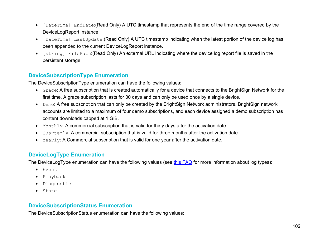- [DateTime] EndDate:(Read Only) A UTC timestamp that represents the end of the time range covered by the DeviceLogReport instance.
- [DateTime] LastUpdate:(Read Only) A UTC timestamp indicating when the latest portion of the device log has been appended to the current DeviceLogReport instance.
- [string] FilePath:(Read Only) An external URL indicating where the device log report file is saved in the persistent storage.

# **DeviceSubscriptionType Enumeration**

The DeviceSubscriptionType enumeration can have the following values:

- Grace: A free subscription that is created automatically for a device that connects to the BrightSign Network for the first time. A grace subscription lasts for 30 days and can only be used once by a single device.
- Demo: A free subscription that can only be created by the BrightSign Network administrators. BrightSign network accounts are limited to a maximum of four demo subscriptions, and each device assigned a demo subscription has content downloads capped at 1 GiB.
- Monthly: A commercial subscription that is valid for thirty days after the activation date.
- Quarterly: A commercial subscription that is valid for three months after the activation date.
- Yearly: A Commercial subscription that is valid for one year after the activation date.

# <span id="page-112-0"></span>**DeviceLogType Enumeration**

The DeviceLogType enumeration can have the following values (see [this FAQ](http://support.brightsign.biz/entries/25449054-How-do-I-interpret-BrightSign-player-logs-) for more information about log types):

- Event
- Playback
- Diagnostic
- State

# **DeviceSubscriptionStatus Enumeration**

The DeviceSubscriptionStatus enumeration can have the following values: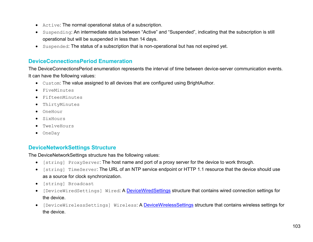- Active: The normal operational status of a subscription.
- Suspending: An intermediate status between "Active" and "Suspended", indicating that the subscription is still operational but will be suspended in less than 14 days.
- Suspended: The status of a subscription that is non-operational but has not expired yet.

# <span id="page-113-0"></span>**DeviceConnectionsPeriod Enumeration**

The DeviceConnectionsPeriod enumeration represents the interval of time between device-server communication events. It can have the following values:

- Custom: The value assigned to all devices that are configured using BrightAuthor.
- FiveMinutes
- FifteenMinutes
- ThirtyMinutes
- OneHour
- SixHours
- TwelveHours
- OneDay

# <span id="page-113-1"></span>**DeviceNetworkSettings Structure**

The DeviceNetworkSettings structure has the following values:

- [string] ProxyServer: The host name and port of a proxy server for the device to work through.
- [string] TimeServer: The URL of an NTP service endpoint or HTTP 1.1 resource that the device should use as a source for clock synchronization.
- [string] Broadcast
- [DeviceWiredSettings] Wired: A **DeviceWiredSettings** structure that contains wired connection settings for the device.
- [DeviceWirelessSettings] Wireless: A [DeviceWirelessSettings](#page-114-1) structure that contains wireless settings for the device.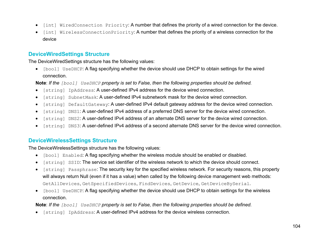- [int] WiredConnection Priority: A number that defines the priority of a wired connection for the device.
- [int] WirelessConnectionPriority: A number that defines the priority of a wireless connection for the device

# <span id="page-114-0"></span>**DeviceWiredSettings Structure**

The DeviceWiredSettings structure has the following values:

• [bool] UseDHCP: A flag specifying whether the device should use DHCP to obtain settings for the wired connection.

**Note**: *If the [bool] UseDHCP property is set to False, then the following properties should be defined.*

- [string] IpAddress: A user-defined IPv4 address for the device wired connection.
- [string] SubnetMask: A user-defined IPv4 subnetwork mask for the device wired connection.
- [string] DefaultGateway: A user-defined IPv4 default gateway address for the device wired connection.
- [string] DNS1: A user-defined IPv4 address of a preferred DNS server for the device wired connection.
- [string] DNS2: A user-defined IPv4 address of an alternate DNS server for the device wired connection.
- [string] DNS3: A user-defined IPv4 address of a second alternate DNS server for the device wired connection.

# <span id="page-114-1"></span>**DeviceWirelessSettings Structure**

The DeviceWirelessSettings structure has the following values:

- [bool] Enabled: A flag specifying whether the wireless module should be enabled or disabled.
- [string] SSID: The service set identifier of the wireless network to which the device should connect.
- [string] Passphrase: The security key for the specified wireless network. For security reasons, this property will always return Null (even if it has a value) when called by the following device management web methods: GetAllDevices, GetSpecifiedDevices, FindDevices, GetDevice, GetDeviceBySerial.
- [bool] UseDHCP: A flag specifying whether the device should use DHCP to obtain settings for the wireless connection.

**Note**: *If the [bool] UseDHCP property is set to False, then the following properties should be defined.*

• [string] IpAddress: A user-defined IPv4 address for the device wireless connection.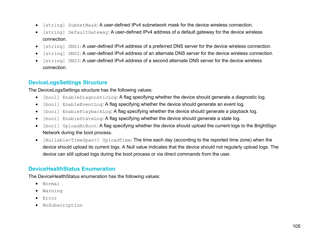- [string] SubnetMask: A user-defined IPv4 subnetwork mask for the device wireless connection.
- [string] DefaultGateway: A user-defined IPv4 address of a default gateway for the device wireless connection.
- [string] DNS1: A user-defined IPv4 address of a preferred DNS server for the device wireless connection.
- [string] DNS2: A user-defined IPv4 address of an alternate DNS server for the device wireless connection.
- [string] DNS3: A user-defined IPv4 address of a second alternate DNS server for the device wireless connection.

# <span id="page-115-1"></span>**DeviceLogsSettings Structure**

The DeviceLogsSettings structure has the following values:

- [bool] EnableDiagnosticLog: A flag specifying whether the device should generate a diagnostic log.
- [bool] EnableEventLog: A flag specifying whether the device should generate an event log.
- [bool] EnablePlaybackLog: A flag specifying whether the device should generate a playback log.
- [bool] EnableStateLog: A flag specifying whether the device should generate a state log.
- [bool] UploadAtBoot: A flag specifying whether the device should upload the current logs to the BrightSign Network during the boot process.
- [Nullable<TimeSpan>] UploadTime: The time each day (according to the reported time zone) when the device should upload its current logs. A Null value indicates that the device should not regularly upload logs. The device can still upload logs during the boot process or via direct commands from the user.

# <span id="page-115-0"></span>**DeviceHealthStatus Enumeration**

The DeviceHealthStatus enumeration has the following values:

- Normal
- Warning
- Error
- NoSubscription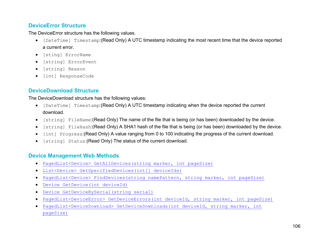# <span id="page-116-0"></span>**DeviceError Structure**

The DeviceError structure has the following values.

- [DateTime] Timestamp:(Read Only) A UTC timestamp indicating the most recent time that the device reported a current error.
- [sting] ErrorName
- [string] ErrorEvent
- [string] Reason
- [int] ResponseCode

# <span id="page-116-1"></span>**DeviceDownload Structure**

The DeviceDownload structure has the following values:

- [DateTime] Timestamp:(Read Only) A UTC timestamp indicating when the device reported the current download.
- [string] FileName: (Read Only) The name of the file that is being (or has been) downloaded by the device.
- [string] FileHash:(Read Only) A SHA1 hash of the file that is being (or has been) downloaded by the device.
- [int] Progress:(Read Only) A value ranging from 0 to 100 indicating the progress of the current download.
- [string] Status:(Read Only) The status of the current download.

# **Device Management Web Methods**

- PagedList<Device> GetAllDevices(string [marker, int pageSize\)](#page-117-0)
- [List<Device> GetSpecifiedDevices\(int\[\] deviceIds\)](#page-118-0)
- [PagedList<Device> FindDevices\(string namePattern, string](#page-118-1) marker, int pageSize)
- [Device GetDevice\(int deviceId\)](#page-119-0)
- [Device GetDeviceBySerial\(string serial\)](#page-119-1)
- [PagedList<DeviceError> GetDeviceErrors\(int deviceId, string](#page-120-0) marker, int pageSize)
- [PagedList<DeviceDownload> GetDeviceDownloads\(int deviceId, string](#page-120-1) marker, int [pageSize\)](#page-120-1)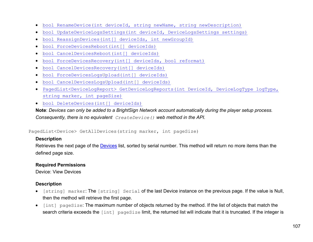- [bool RenameDevice\(int deviceId, string newName, string newDescription\)](#page-121-0)
- [bool UpdateDeviceLogsSettings\(int deviceId, DeviceLogsSettings settings\)](#page-121-1)
- [bool ReassignDevices\(int\[\] deviceIds, int newGroupId\)](#page-122-0)
- [bool ForceDevicesReboot\(int\[\] deviceIds\)](#page-123-0)
- [bool CancelDevicesReboot\(int\[\] deviceIds\)](#page-123-1)
- [bool ForceDevicesRecovery\(int\[\] deviceIds, bool reformat\)](#page-124-0)
- [bool CancelDevicesRecovery\(int\[\] deviceIds\)](#page-124-1)
- [bool ForceDevicesLogsUpload\(int\[\] deviceIds\)](#page-125-0)
- [bool CancelDevicesLogsUpload\(int\[\] deviceIds\)](#page-125-0)
- [PagedList<DeviceLogReport> GetDeviceLogReports\(int DeviceId, DeviceLogType logType,](#page-126-0)  [string marker, int pageSize\)](#page-126-0)
- [bool DeleteDevices\(int\[\] deviceIds\)](#page-126-0)

**Note**: *Devices can only be added to a BrightSign Network account automatically during the player setup process. Consequently, there is no equivalent CreateDevice() web method in the API.*

<span id="page-117-0"></span>PagedList<Device> GetAllDevices(string marker, int pageSize)

#### **Description**

Retrieves the next page of the [Devices](#page-108-0) list, sorted by serial number. This method will return no more items than the defined page size.

#### **Required Permissions**

Device: View Devices

#### **Description**

- [string] marker: The [string] Serial of the last Device instance on the previous page. If the value is Null, then the method will retrieve the first page.
- [int] pageSize: The maximum number of objects returned by the method. If the list of objects that match the search criteria exceeds the [int] pageSize limit, the returned list will indicate that it is truncated. If the integer is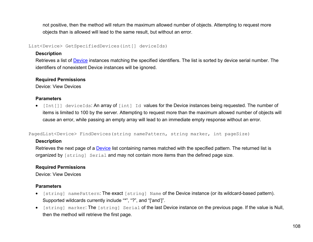not positive, then the method will return the maximum allowed number of objects. Attempting to request more objects than is allowed will lead to the same result, but without an error.

<span id="page-118-0"></span>List<Device> GetSpecifiedDevices(int[] deviceIds)

#### **Description**

Retrieves a list of **Device** instances matching the specified identifiers. The list is sorted by device serial number. The identifiers of nonexistent Device instances will be ignored.

#### **Required Permissions**

Device: View Devices

#### **Parameters**

• [Int[]] deviceIds: An array of [int] Id values for the Device instances being requested. The number of items is limited to 100 by the server. Attempting to request more than the maximum allowed number of objects will cause an error, while passing an empty array will lead to an immediate empty response without an error.

<span id="page-118-1"></span>PagedList<Device> FindDevices(string namePattern, string marker, int pageSize)

#### **Description**

Retrieves the next page of a [Device](#page-108-0) list containing names matched with the specified pattern. The returned list is organized by [string] Serial and may not contain more items than the defined page size.

#### **Required Permissions**

Device: View Devices

#### **Parameters**

- [string] namePattern: The exact [string] Name of the Device instance (or its wildcard-based pattern). Supported wildcards currently include "\*", "?", and "['and']".
- [string] marker: The [string] Serial of the last Device instance on the previous page. If the value is Null, then the method will retrieve the first page.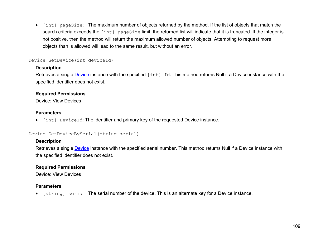• [int] pageSize: The maximum number of objects returned by the method. If the list of objects that match the search criteria exceeds the [int] pageSize limit, the returned list will indicate that it is truncated. If the integer is not positive, then the method will return the maximum allowed number of objects. Attempting to request more objects than is allowed will lead to the same result, but without an error.

#### <span id="page-119-0"></span>Device GetDevice(int deviceId)

#### **Description**

Retrieves a single [Device](#page-108-0) instance with the specified [int] Id. This method returns Null if a Device instance with the specified identifier does not exist.

#### **Required Permissions**

Device: View Devices

#### **Parameters**

• [int] DeviceId: The identifier and primary key of the requested Device instance.

#### <span id="page-119-1"></span>Device GetDeviceBySerial(string serial)

#### **Description**

Retrieves a single **Device** instance with the specified serial number. This method returns Null if a [Device](#page-108-0) instance with the specified identifier does not exist.

#### **Required Permissions**

Device: View Devices

#### **Parameters**

• [string] serial: The serial number of the device. This is an alternate key for a Device instance.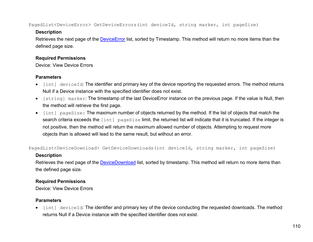<span id="page-120-0"></span>PagedList<DeviceError> GetDeviceErrors(int deviceId, string marker, int pageSize)

#### **Description**

Retrieves the next page of the **DeviceError** list, sorted by Timestamp. This method will return no more items than the defined page size.

### **Required Permissions**

Device: View Device Errors

# **Parameters**

- [int] deviceId: The identifier and primary key of the device reporting the requested errors. The method returns Null if a Device instance with the specified identifier does not exist.
- [string] marker: The timestamp of the last DeviceError instance on the previous page. If the value is Null, then the method will retrieve the first page.
- [int] pageSize: The maximum number of objects returned by the method. If the list of objects that match the search criteria exceeds the [int] pageSize limit, the returned list will indicate that it is truncated. If the integer is not positive, then the method will return the maximum allowed number of objects. Attempting to request more objects than is allowed will lead to the same result, but without an error.

<span id="page-120-1"></span>PagedList<DeviceDownload> GetDeviceDownloads(int deviceId, string marker, int pageSize)

# **Description**

Retrieves the next page of the **DeviceDownload** list, sorted by timestamp. This method will return no more items than the defined page size.

# **Required Permissions**

Device: View Device Errors

# **Parameters**

• [int] deviceId: The identifier and primary key of the device conducting the requested downloads. The method returns Null if a Device instance with the specified identifier does not exist.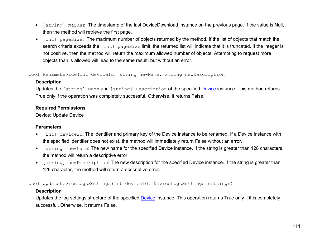- [string] marker: The timestamp of the last DeviceDownload instance on the previous page. If the value is Null, then the method will retrieve the first page.
- [int] pageSize: The maximum number of objects returned by the method. If the list of objects that match the search criteria exceeds the [int] pageSize limit, the returned list will indicate that it is truncated. If the integer is not positive, then the method will return the maximum allowed number of objects. Attempting to request more objects than is allowed will lead to the same result, but without an error.

<span id="page-121-0"></span>bool RenameDevice(int deviceId, string newName, string newDescription)

#### **Description**

Updates the [string] Name and [string] Description of the specified [Device](#page-108-0) instance. This method returns True only if the operation was completely successful. Otherwise, it returns False.

#### **Required Permissions**

Device: Update Device

#### **Parameters**

- [int] deviceId: The identifier and primary key of the Device instance to be renamed. If a Device instance with the specified identifier does not exist, the method will immediately return False without an error.
- [string] newName: The new name for the specified Device instance. If the string is greater than 128 characters, the method will return a descriptive error.
- [string] newDescription: The new description for the specified Device instance. If the string is greater than 128 character, the method will return a descriptive error.

<span id="page-121-1"></span>bool UpdateDeviceLogsSettings(int deviceId, DeviceLogsSettings settings)

#### **Description**

Updates the log settings structure of the specified [Device](#page-108-0) instance. This operation returns True only if it is completely successful. Otherwise, it returns False.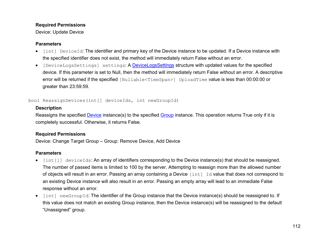#### **Required Permissions**

Device: Update Device

#### **Parameters**

- [int] DeviceId: The identifier and primary key of the Device instance to be updated. If a Device instance with the specified identifier does not exist, the method will immediately return False without an error.
- [DeviceLogsSettings] settings: A [DeviceLogsSettings](#page-115-1) structure with updated values for the specified device. If this parameter is set to Null, then the method will immediately return False without an error. A descriptive error will be returned if the specified [Nullable<TimeSpan>] UploadTime value is less than 00:00:00 or greater than 23:59:59.

#### <span id="page-122-0"></span>bool ReassignDevices(int[] deviceIds, int newGroupId)

#### **Description**

Reassigns the specified [Device](#page-108-0) instance(s) to the specified [Group](#page-95-0) instance. This operation returns True only if it is completely successful. Otherwise, it returns False.

#### **Required Permissions**

Device: Change Target Group – Group: Remove Device, Add Device

# **Parameters**

- [int[]] deviceIds: An array of identifiers corresponding to the Device instance(s) that should be reassigned. The number of passed items is limited to 100 by the server. Attempting to reassign more than the allowed number of objects will result in an error. Passing an array containing a Device [int] Id value that does not correspond to an existing Device instance will also result in an error. Passing an empty array will lead to an immediate False response without an error.
- [int] newGroupId: The identifier of the Group instance that the Device instance(s) should be reassigned to. If this value does not match an existing Group instance, then the Device instance(s) will be reassigned to the default "Unassigned" group.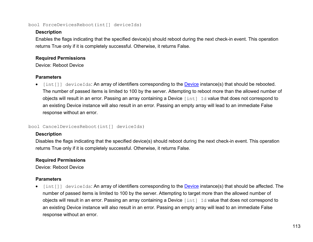<span id="page-123-0"></span>bool ForceDevicesReboot(int[] deviceIds)

#### **Description**

Enables the flags indicating that the specified device(s) should reboot during the next check-in event. This operation returns True only if it is completely successful. Otherwise, it returns False.

#### **Required Permissions**

Device: Reboot Device

# **Parameters**

[int[]] deviceIds: An array of identifiers corresponding to the **Device** instance(s) that should be rebooted. The number of passed items is limited to 100 by the server. Attempting to reboot more than the allowed number of objects will result in an error. Passing an array containing a Device [int] Id value that does not correspond to an existing Device instance will also result in an error. Passing an empty array will lead to an immediate False response without an error.

#### <span id="page-123-1"></span>bool CancelDevicesReboot(int[] deviceIds)

#### **Description**

Disables the flags indicating that the specified device(s) should reboot during the next check-in event. This operation returns True only if it is completely successful. Otherwise, it returns False.

# **Required Permissions**

Device: Reboot Device

# **Parameters**

• [int[]] deviceIds: An array of identifiers corresponding to the [Device](#page-108-0) instance(s) that should be affected. The number of passed items is limited to 100 by the server. Attempting to target more than the allowed number of objects will result in an error. Passing an array containing a Device [int] Id value that does not correspond to an existing Device instance will also result in an error. Passing an empty array will lead to an immediate False response without an error.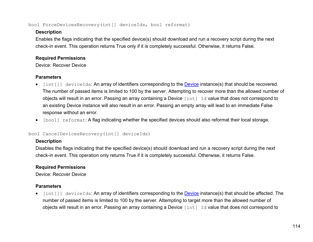#### <span id="page-124-0"></span>bool ForceDevicesRecovery(int[] deviceIds, bool reformat)

### **Description**

Enables the flags indicating that the specified device(s) should download and run a recovery script during the next check-in event. This operation returns True only if it is completely successful. Otherwise, it returns False.

# **Required Permissions**

Device: Recover Device

# **Parameters**

- [int[]] deviceIds: An array of identifiers corresponding to the [Device](#page-108-0) instance(s) that should be recovered. The number of passed items is limited to 100 by the server. Attempting to recover more than the allowed number of objects will result in an error. Passing an array containing a Device [int] Id value that does not correspond to an existing Device instance will also result in an error. Passing an empty array will lead to an immediate False response without an error.
- [bool] reformat: A flag indicating whether the specified devices should also reformat their local storage.

# <span id="page-124-1"></span>bool CancelDevicesRecovery(int[] deviceIds)

# **Description**

Disables the flags indicating that the specified device(s) should download and run a recovery script during the next check-in event. This operation only returns True if it is completely successful. Otherwise, it returns False.

# **Required Permissions**

Device: Recover Device

# **Parameters**

• [int[]] deviceIds: An array of identifiers corresponding to the **Device** instance(s) that should be affected. The number of passed items is limited to 100 by the server. Attempting to target more than the allowed number of objects will result in an error. Passing an array containing a Device [int] Id value that does not correspond to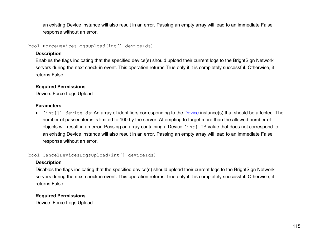an existing Device instance will also result in an error. Passing an empty array will lead to an immediate False response without an error.

<span id="page-125-0"></span>bool ForceDevicesLogsUpload(int[] deviceIds)

#### **Description**

Enables the flags indicating that the specified device(s) should upload their current logs to the BrightSign Network servers during the next check-in event. This operation returns True only if it is completely successful. Otherwise, it returns False.

# **Required Permissions**

Device: Force Logs Upload

#### **Parameters**

• [int[]] deviceIds: An array of identifiers corresponding to the **Device** instance(s) that should be affected. The number of passed items is limited to 100 by the server. Attempting to target more than the allowed number of objects will result in an error. Passing an array containing a Device [int] Id value that does not correspond to an existing Device instance will also result in an error. Passing an empty array will lead to an immediate False response without an error.

bool CancelDevicesLogsUpload(int[] deviceIds)

# **Description**

Disables the flags indicating that the specified device(s) should upload their current logs to the BrightSign Network servers during the next check-in event. This operation returns True only if it is completely successful. Otherwise, it returns False.

# **Required Permissions**

Device: Force Logs Upload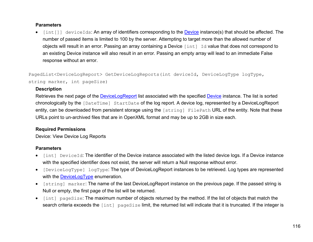#### **Parameters**

• [int[]] deviceIds: An array of identifiers corresponding to the [Device](#page-108-0) instance(s) that should be affected. The number of passed items is limited to 100 by the server. Attempting to target more than the allowed number of objects will result in an error. Passing an array containing a Device [int] Id value that does not correspond to an existing Device instance will also result in an error. Passing an empty array will lead to an immediate False response without an error.

<span id="page-126-0"></span>PagedList<DeviceLogReport> GetDeviceLogReports(int deviceId, DeviceLogType logType, string marker, int pageSize)

#### **Description**

Retrieves the next page of the [DeviceLogReport](#page-111-0) list associated with the specified [Device](#page-108-0) instance. The list is sorted chronologically by the [DateTime] StartDate of the log report. A device log, represented by a DeviceLogReport entity, can be downloaded from persistent storage using the [string] FilePath URL of the entity*.* Note that these URLs point to un-archived files that are in OpenXML format and may be up to 2GB in size each.

#### **Required Permissions**

Device: View Device Log Reports

#### **Parameters**

- [int] DeviceId: The identifier of the Device instance associated with the listed device logs. If a Device instance with the specified identifier does not exist, the server will return a Null response without error.
- [DeviceLogType] logType: The type of DeviceLogReport instances to be retrieved. Log types are represented with the **DeviceLogType** enumeration.
- [string] marker: The name of the last DeviceLogReport instance on the previous page. If the passed string is Null or empty, the first page of the list will be returned.
- [int] pageSize: The maximum number of objects returned by the method. If the list of objects that match the search criteria exceeds the [int] pageSize limit, the returned list will indicate that it is truncated. If the integer is